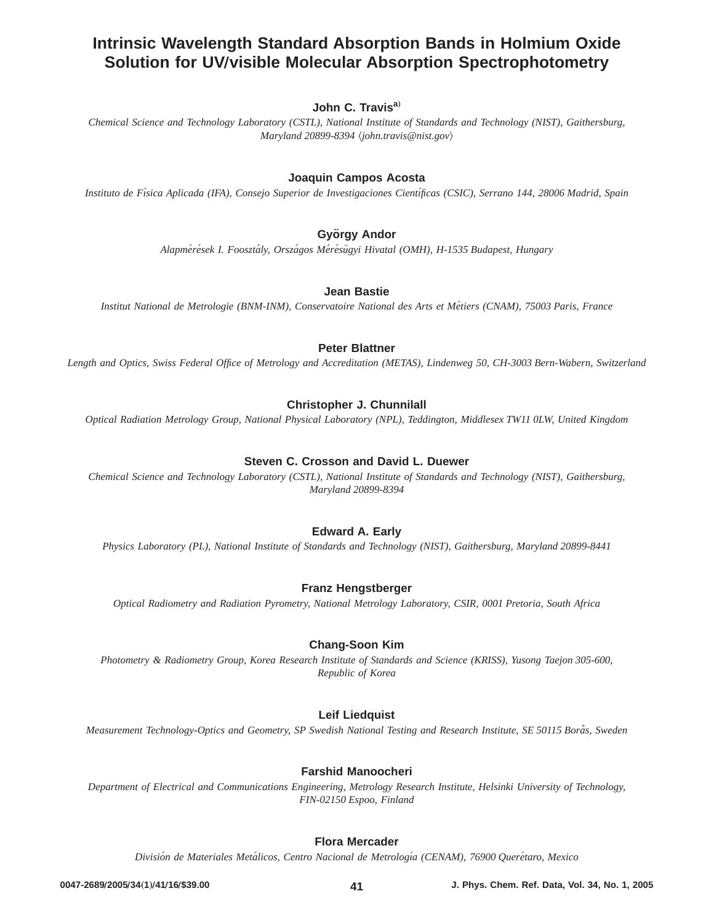# **Intrinsic Wavelength Standard Absorption Bands in Holmium Oxide Solution for UV/visible Molecular Absorption Spectrophotometry**

# John C. Travis<sup>a)</sup>

*Chemical Science and Technology Laboratory (CSTL), National Institute of Standards and Technology (NIST), Gaithersburg, Maryland 20899-8394* ^*john.travis@nist.gov*&

### **Joaquin Campos Acosta**

*Instituto de Fı´sica Aplicada (IFA), Consejo Superior de Investigaciones Cientı´ficas (CSIC), Serrano 144, 28006 Madrid, Spain*

# **György Andor**

*Alapme´re´sek I. Fooszta´ly, Orsza´gos Me´re´su¨gyi Hivatal (OMH), H-1535 Budapest, Hungary*

### **Jean Bastie**

*Institut National de Metrologie (BNM-INM), Conservatoire National des Arts et Me´tiers (CNAM), 75003 Paris, France*

### **Peter Blattner**

*Length and Optics, Swiss Federal Office of Metrology and Accreditation (METAS), Lindenweg 50, CH-3003 Bern-Wabern, Switzerland*

# **Christopher J. Chunnilall**

*Optical Radiation Metrology Group, National Physical Laboratory (NPL), Teddington, Middlesex TW11 0LW, United Kingdom*

# **Steven C. Crosson and David L. Duewer**

*Chemical Science and Technology Laboratory (CSTL), National Institute of Standards and Technology (NIST), Gaithersburg, Maryland 20899-8394*

# **Edward A. Early**

*Physics Laboratory (PL), National Institute of Standards and Technology (NIST), Gaithersburg, Maryland 20899-8441*

### **Franz Hengstberger**

*Optical Radiometry and Radiation Pyrometry, National Metrology Laboratory, CSIR, 0001 Pretoria, South Africa*

### **Chang-Soon Kim**

*Photometry & Radiometry Group, Korea Research Institute of Standards and Science (KRISS), Yusong Taejon 305-600, Republic of Korea*

# **Leif Liedquist**

*Measurement Technology-Optics and Geometry, SP Swedish National Testing and Research Institute, SE 50115 Bora˚s, Sweden*

### **Farshid Manoocheri**

*Department of Electrical and Communications Engineering, Metrology Research Institute, Helsinki University of Technology, FIN-02150 Espoo, Finland*

# **Flora Mercader**

*Divisio´n de Materiales Meta´licos, Centro Nacional de Metrologı´a (CENAM), 76900 Quere´taro, Mexico*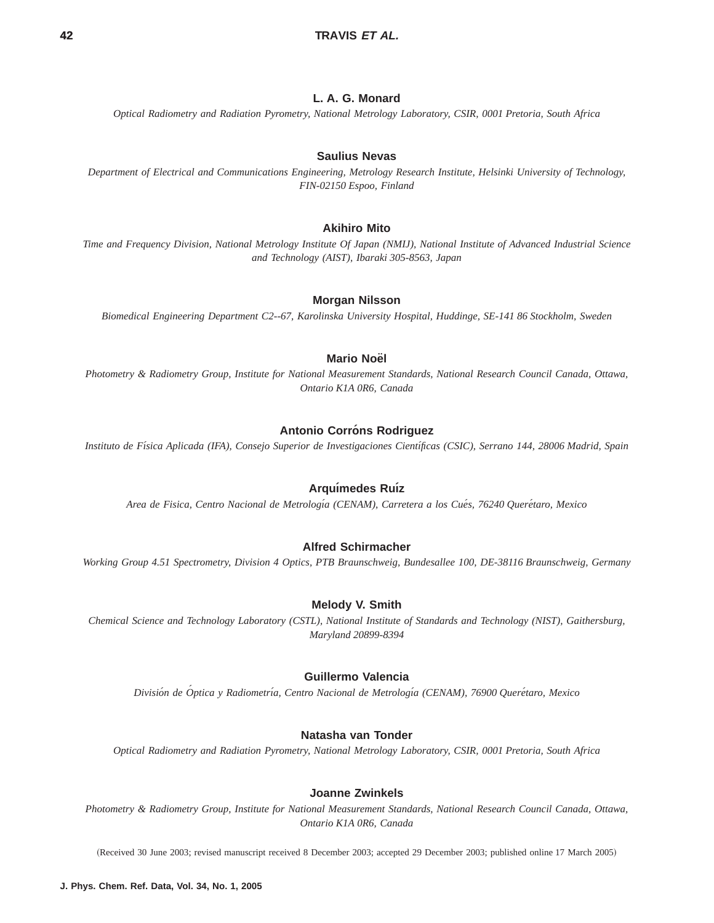## **42 TRAVIS ET AL.**

### **L. A. G. Monard**

*Optical Radiometry and Radiation Pyrometry, National Metrology Laboratory, CSIR, 0001 Pretoria, South Africa*

#### **Saulius Nevas**

*Department of Electrical and Communications Engineering, Metrology Research Institute, Helsinki University of Technology, FIN-02150 Espoo, Finland*

#### **Akihiro Mito**

*Time and Frequency Division, National Metrology Institute Of Japan (NMIJ), National Institute of Advanced Industrial Science and Technology (AIST), Ibaraki 305-8563, Japan*

#### **Morgan Nilsson**

*Biomedical Engineering Department C2--67, Karolinska University Hospital, Huddinge, SE-141 86 Stockholm, Sweden*

# **Mario Noël**

*Photometry & Radiometry Group, Institute for National Measurement Standards, National Research Council Canada, Ottawa, Ontario K1A 0R6, Canada*

### **Antonio Corróns Rodriguez**

*Instituto de Fı´sica Aplicada (IFA), Consejo Superior de Investigaciones Cientı´ficas (CSIC), Serrano 144, 28006 Madrid, Spain*

### **Arquı´medes Ruı´z**

*Area de Fisica, Centro Nacional de Metrologı´a (CENAM), Carretera a los Cue´s, 76240 Quere´taro, Mexico*

### **Alfred Schirmacher**

*Working Group 4.51 Spectrometry, Division 4 Optics, PTB Braunschweig, Bundesallee 100, DE-38116 Braunschweig, Germany*

#### **Melody V. Smith**

*Chemical Science and Technology Laboratory (CSTL), National Institute of Standards and Technology (NIST), Gaithersburg, Maryland 20899-8394*

### **Guillermo Valencia**

*Divisio´n de O´ ptica y Radiometrı´a, Centro Nacional de Metrologı´a (CENAM), 76900 Quere´taro, Mexico*

#### **Natasha van Tonder**

*Optical Radiometry and Radiation Pyrometry, National Metrology Laboratory, CSIR, 0001 Pretoria, South Africa*

#### **Joanne Zwinkels**

*Photometry & Radiometry Group, Institute for National Measurement Standards, National Research Council Canada, Ottawa, Ontario K1A 0R6, Canada*

(Received 30 June 2003; revised manuscript received 8 December 2003; accepted 29 December 2003; published online 17 March 2005)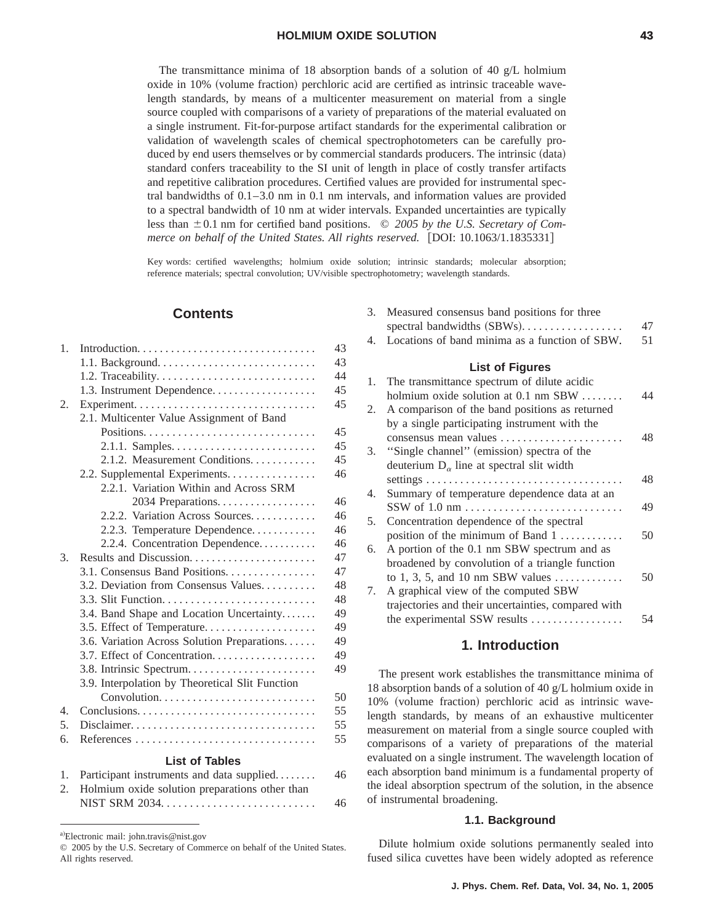The transmittance minima of 18 absorption bands of a solution of 40  $g/L$  holmium  $\alpha$  oxide in 10% (volume fraction) perchloric acid are certified as intrinsic traceable wavelength standards, by means of a multicenter measurement on material from a single source coupled with comparisons of a variety of preparations of the material evaluated on a single instrument. Fit-for-purpose artifact standards for the experimental calibration or validation of wavelength scales of chemical spectrophotometers can be carefully produced by end users themselves or by commercial standards producers. The intrinsic (data) standard confers traceability to the SI unit of length in place of costly transfer artifacts and repetitive calibration procedures. Certified values are provided for instrumental spectral bandwidths of 0.1–3.0 nm in 0.1 nm intervals, and information values are provided to a spectral bandwidth of 10 nm at wider intervals. Expanded uncertainties are typically less than  $\pm 0.1$  nm for certified band positions.  $\odot$  2005 by the U.S. Secretary of Com*merce on behalf of the United States. All rights reserved.* [DOI: 10.1063/1.1835331]

Key words: certified wavelengths; holmium oxide solution; intrinsic standards; molecular absorption; reference materials; spectral convolution; UV/visible spectrophotometry; wavelength standards.

# **Contents**

| $1_{-}$          |                                                                                                                                                                                                                                                                                                                                                                                                                                                             | 43 |
|------------------|-------------------------------------------------------------------------------------------------------------------------------------------------------------------------------------------------------------------------------------------------------------------------------------------------------------------------------------------------------------------------------------------------------------------------------------------------------------|----|
|                  |                                                                                                                                                                                                                                                                                                                                                                                                                                                             | 43 |
|                  |                                                                                                                                                                                                                                                                                                                                                                                                                                                             | 44 |
|                  | 1.3. Instrument Dependence                                                                                                                                                                                                                                                                                                                                                                                                                                  | 45 |
| 2.               |                                                                                                                                                                                                                                                                                                                                                                                                                                                             | 45 |
|                  | 2.1. Multicenter Value Assignment of Band                                                                                                                                                                                                                                                                                                                                                                                                                   |    |
|                  |                                                                                                                                                                                                                                                                                                                                                                                                                                                             | 45 |
|                  |                                                                                                                                                                                                                                                                                                                                                                                                                                                             | 45 |
|                  | 2.1.2. Measurement Conditions.                                                                                                                                                                                                                                                                                                                                                                                                                              | 45 |
|                  | 2.2. Supplemental Experiments.                                                                                                                                                                                                                                                                                                                                                                                                                              | 46 |
|                  | 2.2.1. Variation Within and Across SRM                                                                                                                                                                                                                                                                                                                                                                                                                      |    |
|                  | 2034 Preparations.                                                                                                                                                                                                                                                                                                                                                                                                                                          | 46 |
|                  | 2.2.2. Variation Across Sources                                                                                                                                                                                                                                                                                                                                                                                                                             | 46 |
|                  | 2.2.3. Temperature Dependence                                                                                                                                                                                                                                                                                                                                                                                                                               | 46 |
|                  | 2.2.4. Concentration Dependence                                                                                                                                                                                                                                                                                                                                                                                                                             | 46 |
| 3.               | Results and Discussion                                                                                                                                                                                                                                                                                                                                                                                                                                      | 47 |
|                  | 3.1. Consensus Band Positions.                                                                                                                                                                                                                                                                                                                                                                                                                              | 47 |
|                  | 3.2. Deviation from Consensus Values                                                                                                                                                                                                                                                                                                                                                                                                                        | 48 |
|                  |                                                                                                                                                                                                                                                                                                                                                                                                                                                             | 48 |
|                  | 3.4. Band Shape and Location Uncertainty                                                                                                                                                                                                                                                                                                                                                                                                                    | 49 |
|                  |                                                                                                                                                                                                                                                                                                                                                                                                                                                             | 49 |
|                  | 3.6. Variation Across Solution Preparations                                                                                                                                                                                                                                                                                                                                                                                                                 | 49 |
|                  |                                                                                                                                                                                                                                                                                                                                                                                                                                                             | 49 |
|                  | 3.8. Intrinsic Spectrum                                                                                                                                                                                                                                                                                                                                                                                                                                     | 49 |
|                  | 3.9. Interpolation by Theoretical Slit Function                                                                                                                                                                                                                                                                                                                                                                                                             |    |
|                  | Convolution                                                                                                                                                                                                                                                                                                                                                                                                                                                 | 50 |
| $\overline{4}$ . |                                                                                                                                                                                                                                                                                                                                                                                                                                                             | 55 |
| 5.               | Disclaimer                                                                                                                                                                                                                                                                                                                                                                                                                                                  | 55 |
| 6.               |                                                                                                                                                                                                                                                                                                                                                                                                                                                             | 55 |
|                  | <b>List of Tables</b>                                                                                                                                                                                                                                                                                                                                                                                                                                       |    |
| 1.               | Participant instruments and data supplied                                                                                                                                                                                                                                                                                                                                                                                                                   | 46 |
|                  | $\mathbf{T} \mathbf{T} = \mathbf{1} \cup \mathbf{1} \cup \mathbf{1} \cup \mathbf{1} \cup \mathbf{1} \cup \mathbf{1} \cup \mathbf{1} \cup \mathbf{1} \cup \mathbf{1} \cup \mathbf{1} \cup \mathbf{1} \cup \mathbf{1} \cup \mathbf{1} \cup \mathbf{1} \cup \mathbf{1} \cup \mathbf{1} \cup \mathbf{1} \cup \mathbf{1} \cup \mathbf{1} \cup \mathbf{1} \cup \mathbf{1} \cup \mathbf{1} \cup \mathbf{1} \cup \mathbf{1} \cup \mathbf{1} \cup \mathbf{1} \cup \$ |    |

| 2. Holmium oxide solution preparations other than |    |
|---------------------------------------------------|----|
|                                                   | 46 |

| 3. | Measured consensus band positions for three<br>spectral bandwidths (SBWs) | 47 |
|----|---------------------------------------------------------------------------|----|
| 4. | Locations of band minima as a function of SBW.                            | 51 |
|    | <b>List of Figures</b>                                                    |    |
| 1. | The transmittance spectrum of dilute acidic                               |    |
|    | holmium oxide solution at $0.1$ nm SBW $\ldots$                           | 44 |
| 2. | A comparison of the band positions as returned                            |    |
|    | by a single participating instrument with the                             |    |
|    | consensus mean values                                                     | 48 |
| 3. | "Single channel" (emission) spectra of the                                |    |
|    | deuterium $D_{\alpha}$ line at spectral slit width                        |    |
|    |                                                                           | 48 |
| 4. | Summary of temperature dependence data at an                              |    |
|    |                                                                           | 49 |
| 5. | Concentration dependence of the spectral                                  |    |
|    | position of the minimum of Band 1                                         | 50 |
| 6. | A portion of the 0.1 nm SBW spectrum and as                               |    |
|    | broadened by convolution of a triangle function                           |    |
|    | to 1, 3, 5, and 10 nm SBW values $\dots \dots \dots$                      | 50 |
| 7. | A graphical view of the computed SBW                                      |    |
|    | trajectories and their uncertainties, compared with                       |    |
|    | the experimental SSW results                                              | 54 |
|    |                                                                           |    |

### **1. Introduction**

The present work establishes the transmittance minima of 18 absorption bands of a solution of 40 g/L holmium oxide in 10% (volume fraction) perchloric acid as intrinsic wavelength standards, by means of an exhaustive multicenter measurement on material from a single source coupled with comparisons of a variety of preparations of the material evaluated on a single instrument. The wavelength location of each absorption band minimum is a fundamental property of the ideal absorption spectrum of the solution, in the absence of instrumental broadening.

#### **1.1. Background**

Dilute holmium oxide solutions permanently sealed into fused silica cuvettes have been widely adopted as reference

a)Electronic mail: john.travis@nist.gov

<sup>© 2005</sup> by the U.S. Secretary of Commerce on behalf of the United States. All rights reserved.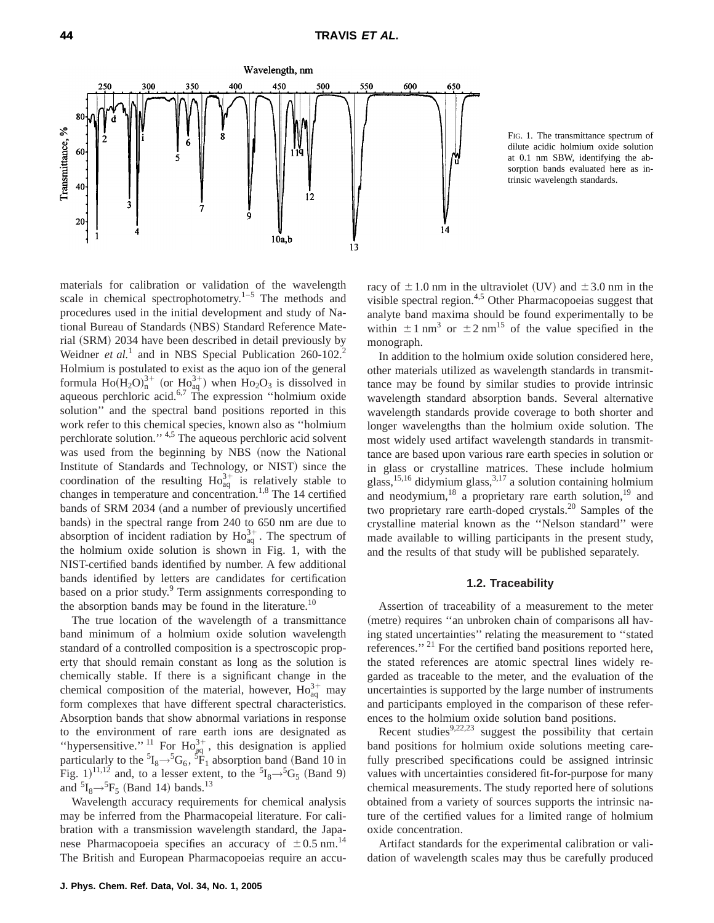

FIG. 1. The transmittance spectrum of dilute acidic holmium oxide solution at 0.1 nm SBW, identifying the absorption bands evaluated here as intrinsic wavelength standards.

materials for calibration or validation of the wavelength scale in chemical spectrophotometry. $1-5$  The methods and procedures used in the initial development and study of National Bureau of Standards (NBS) Standard Reference Material (SRM) 2034 have been described in detail previously by Weidner *et al.*<sup>1</sup> and in NBS Special Publication 260-102.<sup>2</sup> Holmium is postulated to exist as the aquo ion of the general formula  $Ho(H_2O)^{3+}_{n}$  (or  $Ho_{aq}^{3+}$ ) when  $Ho_2O_3$  is dissolved in aqueous perchloric acid.<sup>6,7</sup> The expression "holmium oxide solution'' and the spectral band positions reported in this work refer to this chemical species, known also as ''holmium perchlorate solution.'' 4,5 The aqueous perchloric acid solvent was used from the beginning by NBS (now the National Institute of Standards and Technology, or NIST) since the coordination of the resulting  $\text{Ho}_{\text{aq}}^{3+}$  is relatively stable to changes in temperature and concentration.<sup>1,8</sup> The 14 certified bands of SRM 2034 (and a number of previously uncertified bands) in the spectral range from 240 to 650 nm are due to absorption of incident radiation by  $\text{Ho}_{aq}^{3+}$ . The spectrum of the holmium oxide solution is shown in Fig. 1, with the NIST-certified bands identified by number. A few additional bands identified by letters are candidates for certification based on a prior study.<sup>9</sup> Term assignments corresponding to the absorption bands may be found in the literature.<sup>10</sup>

The true location of the wavelength of a transmittance band minimum of a holmium oxide solution wavelength standard of a controlled composition is a spectroscopic property that should remain constant as long as the solution is chemically stable. If there is a significant change in the chemical composition of the material, however,  $\text{Ho}_{aq}^{3+}$  may form complexes that have different spectral characteristics. Absorption bands that show abnormal variations in response to the environment of rare earth ions are designated as "hypersensitive." <sup>11</sup> For  $Ho_{aq}^{3+}$ , this designation is applied particularly to the  ${}^{5}I_{8} \rightarrow {}^{5}G_{6}$ ,  ${}^{5}F_{1}$  absorption band (Band 10 in Fig. 1)<sup>11,12</sup> and, to a lesser extent, to the  ${}^{5}I_{8} \rightarrow {}^{5}G_{5}$  (Band 9) and  ${}^{5}I_{8} \rightarrow {}^{5}F_{5}$  (Band 14) bands.<sup>13</sup>

Wavelength accuracy requirements for chemical analysis may be inferred from the Pharmacopeial literature. For calibration with a transmission wavelength standard, the Japanese Pharmacopoeia specifies an accuracy of  $\pm 0.5$  nm.<sup>14</sup> The British and European Pharmacopoeias require an accuracy of  $\pm 1.0$  nm in the ultraviolet (UV) and  $\pm 3.0$  nm in the visible spectral region. $4.5$  Other Pharmacopoeias suggest that analyte band maxima should be found experimentally to be within  $\pm 1$  nm<sup>3</sup> or  $\pm 2$  nm<sup>15</sup> of the value specified in the monograph.

In addition to the holmium oxide solution considered here, other materials utilized as wavelength standards in transmittance may be found by similar studies to provide intrinsic wavelength standard absorption bands. Several alternative wavelength standards provide coverage to both shorter and longer wavelengths than the holmium oxide solution. The most widely used artifact wavelength standards in transmittance are based upon various rare earth species in solution or in glass or crystalline matrices. These include holmium glass, $15,16$  didymium glass, $3,17$  a solution containing holmium and neodymium,  $18$  a proprietary rare earth solution,  $19$  and two proprietary rare earth-doped crystals.20 Samples of the crystalline material known as the ''Nelson standard'' were made available to willing participants in the present study, and the results of that study will be published separately.

#### **1.2. Traceability**

Assertion of traceability of a measurement to the meter (metre) requires "an unbroken chain of comparisons all having stated uncertainties'' relating the measurement to ''stated references."<sup>21</sup> For the certified band positions reported here, the stated references are atomic spectral lines widely regarded as traceable to the meter, and the evaluation of the uncertainties is supported by the large number of instruments and participants employed in the comparison of these references to the holmium oxide solution band positions.

Recent studies<sup>9,22,23</sup> suggest the possibility that certain band positions for holmium oxide solutions meeting carefully prescribed specifications could be assigned intrinsic values with uncertainties considered fit-for-purpose for many chemical measurements. The study reported here of solutions obtained from a variety of sources supports the intrinsic nature of the certified values for a limited range of holmium oxide concentration.

Artifact standards for the experimental calibration or validation of wavelength scales may thus be carefully produced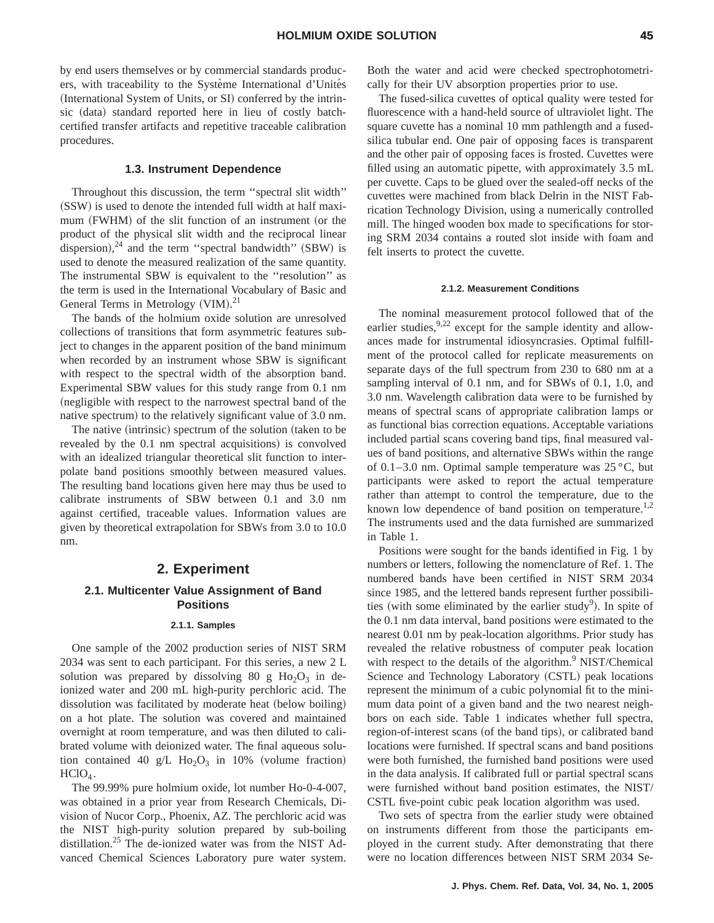by end users themselves or by commercial standards producers, with traceability to the Système International d'Unités (International System of Units, or SI) conferred by the intrinsic (data) standard reported here in lieu of costly batchcertified transfer artifacts and repetitive traceable calibration procedures.

#### **1.3. Instrument Dependence**

Throughout this discussion, the term ''spectral slit width'' (SSW) is used to denote the intended full width at half maximum (FWHM) of the slit function of an instrument (or the product of the physical slit width and the reciprocal linear dispersion),<sup>24</sup> and the term "spectral bandwidth" (SBW) is used to denote the measured realization of the same quantity. The instrumental SBW is equivalent to the ''resolution'' as the term is used in the International Vocabulary of Basic and General Terms in Metrology (VIM).<sup>21</sup>

The bands of the holmium oxide solution are unresolved collections of transitions that form asymmetric features subject to changes in the apparent position of the band minimum when recorded by an instrument whose SBW is significant with respect to the spectral width of the absorption band. Experimental SBW values for this study range from 0.1 nm (negligible with respect to the narrowest spectral band of the native spectrum) to the relatively significant value of 3.0 nm.

The native  $(intrinsic)$  spectrum of the solution  $(taken to be$ revealed by the 0.1 nm spectral acquisitions) is convolved with an idealized triangular theoretical slit function to interpolate band positions smoothly between measured values. The resulting band locations given here may thus be used to calibrate instruments of SBW between 0.1 and 3.0 nm against certified, traceable values. Information values are given by theoretical extrapolation for SBWs from 3.0 to 10.0 nm.

# **2. Experiment**

# **2.1. Multicenter Value Assignment of Band Positions**

#### **2.1.1. Samples**

One sample of the 2002 production series of NIST SRM 2034 was sent to each participant. For this series, a new 2 L solution was prepared by dissolving 80 g  $Ho_2O_3$  in deionized water and 200 mL high-purity perchloric acid. The dissolution was facilitated by moderate heat (below boiling) on a hot plate. The solution was covered and maintained overnight at room temperature, and was then diluted to calibrated volume with deionized water. The final aqueous solution contained 40 g/L  $Ho<sub>2</sub>O<sub>3</sub>$  in 10% (volume fraction)  $HClO<sub>4</sub>$ .

The 99.99% pure holmium oxide, lot number Ho-0-4-007, was obtained in a prior year from Research Chemicals, Division of Nucor Corp., Phoenix, AZ. The perchloric acid was the NIST high-purity solution prepared by sub-boiling distillation.<sup>25</sup> The de-ionized water was from the NIST Advanced Chemical Sciences Laboratory pure water system. Both the water and acid were checked spectrophotometrically for their UV absorption properties prior to use.

The fused-silica cuvettes of optical quality were tested for fluorescence with a hand-held source of ultraviolet light. The square cuvette has a nominal 10 mm pathlength and a fusedsilica tubular end. One pair of opposing faces is transparent and the other pair of opposing faces is frosted. Cuvettes were filled using an automatic pipette, with approximately 3.5 mL per cuvette. Caps to be glued over the sealed-off necks of the cuvettes were machined from black Delrin in the NIST Fabrication Technology Division, using a numerically controlled mill. The hinged wooden box made to specifications for storing SRM 2034 contains a routed slot inside with foam and felt inserts to protect the cuvette.

#### **2.1.2. Measurement Conditions**

The nominal measurement protocol followed that of the earlier studies,  $9.22$  except for the sample identity and allowances made for instrumental idiosyncrasies. Optimal fulfillment of the protocol called for replicate measurements on separate days of the full spectrum from 230 to 680 nm at a sampling interval of 0.1 nm, and for SBWs of 0.1, 1.0, and 3.0 nm. Wavelength calibration data were to be furnished by means of spectral scans of appropriate calibration lamps or as functional bias correction equations. Acceptable variations included partial scans covering band tips, final measured values of band positions, and alternative SBWs within the range of 0.1–3.0 nm. Optimal sample temperature was  $25^{\circ}$ C, but participants were asked to report the actual temperature rather than attempt to control the temperature, due to the known low dependence of band position on temperature.<sup>1,2</sup> The instruments used and the data furnished are summarized in Table 1.

Positions were sought for the bands identified in Fig. 1 by numbers or letters, following the nomenclature of Ref. 1. The numbered bands have been certified in NIST SRM 2034 since 1985, and the lettered bands represent further possibilities (with some eliminated by the earlier study<sup>9</sup>). In spite of the 0.1 nm data interval, band positions were estimated to the nearest 0.01 nm by peak-location algorithms. Prior study has revealed the relative robustness of computer peak location with respect to the details of the algorithm.<sup>9</sup> NIST/Chemical Science and Technology Laboratory (CSTL) peak locations represent the minimum of a cubic polynomial fit to the minimum data point of a given band and the two nearest neighbors on each side. Table 1 indicates whether full spectra, region-of-interest scans (of the band tips), or calibrated band locations were furnished. If spectral scans and band positions were both furnished, the furnished band positions were used in the data analysis. If calibrated full or partial spectral scans were furnished without band position estimates, the NIST/ CSTL five-point cubic peak location algorithm was used.

Two sets of spectra from the earlier study were obtained on instruments different from those the participants employed in the current study. After demonstrating that there were no location differences between NIST SRM 2034 Se-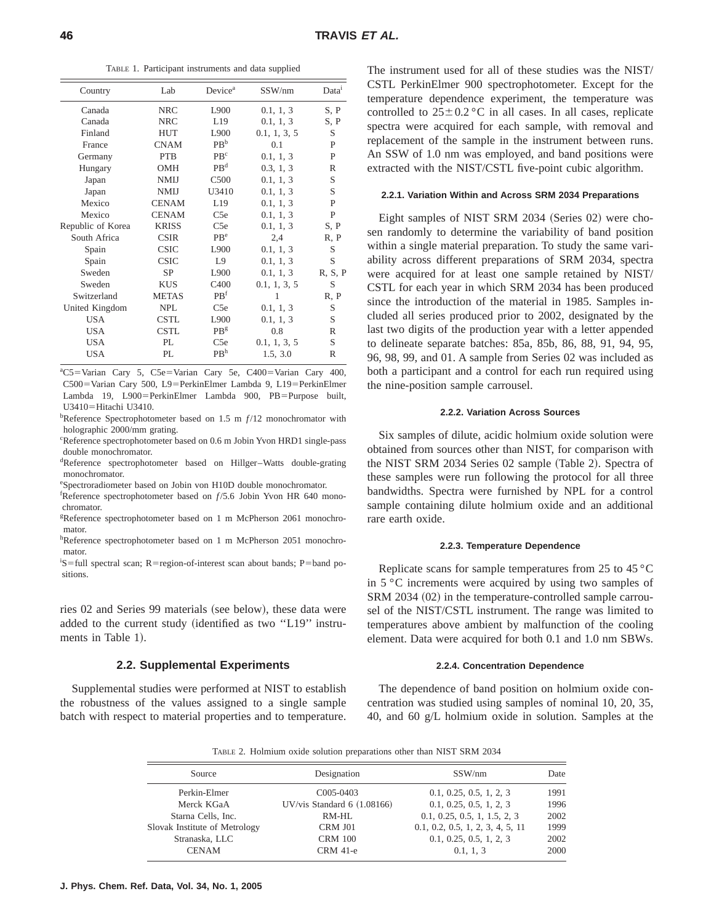TABLE 1. Participant instruments and data supplied

| Country           | Lab          | Device <sup>a</sup> | SSW/nm       | Data <sup>1</sup> |
|-------------------|--------------|---------------------|--------------|-------------------|
| Canada            | <b>NRC</b>   | L900                | 0.1, 1, 3    | S, P              |
| Canada            | <b>NRC</b>   | L19                 | 0.1, 1, 3    | S, P              |
| Finland           | <b>HUT</b>   | L900                | 0.1, 1, 3, 5 | S                 |
| France            | <b>CNAM</b>  | PB <sup>b</sup>     | 0.1          | P                 |
| Germany           | <b>PTB</b>   | PB <sup>c</sup>     | 0.1, 1, 3    | P                 |
| Hungary           | <b>OMH</b>   | PB <sup>d</sup>     | 0.3, 1, 3    | R                 |
| Japan             | <b>NMIJ</b>  | C <sub>500</sub>    | 0.1, 1, 3    | S                 |
| Japan             | <b>NMIJ</b>  | U3410               | 0.1, 1, 3    | S                 |
| Mexico            | <b>CENAM</b> | L19                 | 0.1, 1, 3    | P                 |
| Mexico            | <b>CENAM</b> | C <sub>5e</sub>     | 0.1, 1, 3    | P                 |
| Republic of Korea | <b>KRISS</b> | C <sub>5e</sub>     | 0.1, 1, 3    | S, P              |
| South Africa      | <b>CSIR</b>  | PB <sup>e</sup>     | 2,4          | R, P              |
| Spain             | <b>CSIC</b>  | L900                | 0.1, 1, 3    | S                 |
| Spain             | <b>CSIC</b>  | L9                  | 0.1, 1, 3    | S                 |
| Sweden            | <b>SP</b>    | L900                | 0.1, 1, 3    | R, S, P           |
| Sweden            | <b>KUS</b>   | C <sub>4</sub> 00   | 0.1, 1, 3, 5 | S                 |
| Switzerland       | <b>METAS</b> | PB <sup>f</sup>     | 1            | R, P              |
| United Kingdom    | <b>NPL</b>   | C <sub>5e</sub>     | 0.1, 1, 3    | S                 |
| <b>USA</b>        | <b>CSTL</b>  | L900                | 0.1, 1, 3    | S                 |
| <b>USA</b>        | <b>CSTL</b>  | PR <sup>g</sup>     | 0.8          | R                 |
| <b>USA</b>        | PI.          | C <sub>5e</sub>     | 0.1, 1, 3, 5 | S                 |
| USA               | PI.          | PB <sup>h</sup>     | 1.5, 3.0     | R                 |
|                   |              |                     |              |                   |

<sup>a</sup>C5=Varian Cary 5, C5e=Varian Cary 5e, C400=Varian Cary 400, C500=Varian Cary 500, L9=PerkinElmer Lambda 9, L19=PerkinElmer Lambda 19, L900=PerkinElmer Lambda 900, PB=Purpose built,  $U3410=Hitachi U3410.$ 

<sup>b</sup>Reference Spectrophotometer based on 1.5 m  $f/12$  monochromator with holographic 2000/mm grating.

c Reference spectrophotometer based on 0.6 m Jobin Yvon HRD1 single-pass double monochromator.

d Reference spectrophotometer based on Hillger–Watts double-grating monochromator.

e Spectroradiometer based on Jobin von H10D double monochromator.

<sup>f</sup>Reference spectrophotometer based on  $f/5.6$  Jobin Yvon HR 640 monochromator.

g Reference spectrophotometer based on 1 m McPherson 2061 monochromator.

hReference spectrophotometer based on 1 m McPherson 2051 monochromator.

 ${}^{i}S$ =full spectral scan; R=region-of-interest scan about bands; P=band positions.

ries 02 and Series 99 materials (see below), these data were added to the current study (identified as two "L19" instruments in Table 1).

### **2.2. Supplemental Experiments**

Supplemental studies were performed at NIST to establish the robustness of the values assigned to a single sample batch with respect to material properties and to temperature. The instrument used for all of these studies was the NIST/ CSTL PerkinElmer 900 spectrophotometer. Except for the temperature dependence experiment, the temperature was controlled to  $25 \pm 0.2$  °C in all cases. In all cases, replicate spectra were acquired for each sample, with removal and replacement of the sample in the instrument between runs. An SSW of 1.0 nm was employed, and band positions were extracted with the NIST/CSTL five-point cubic algorithm.

#### **2.2.1. Variation Within and Across SRM 2034 Preparations**

Eight samples of NIST SRM 2034 (Series 02) were chosen randomly to determine the variability of band position within a single material preparation. To study the same variability across different preparations of SRM 2034, spectra were acquired for at least one sample retained by NIST/ CSTL for each year in which SRM 2034 has been produced since the introduction of the material in 1985. Samples included all series produced prior to 2002, designated by the last two digits of the production year with a letter appended to delineate separate batches: 85a, 85b, 86, 88, 91, 94, 95, 96, 98, 99, and 01. A sample from Series 02 was included as both a participant and a control for each run required using the nine-position sample carrousel.

#### **2.2.2. Variation Across Sources**

Six samples of dilute, acidic holmium oxide solution were obtained from sources other than NIST, for comparison with the NIST SRM 2034 Series 02 sample (Table 2). Spectra of these samples were run following the protocol for all three bandwidths. Spectra were furnished by NPL for a control sample containing dilute holmium oxide and an additional rare earth oxide.

#### **2.2.3. Temperature Dependence**

Replicate scans for sample temperatures from 25 to 45 °C in 5 °C increments were acquired by using two samples of  $SRM$  2034 (02) in the temperature-controlled sample carrousel of the NIST/CSTL instrument. The range was limited to temperatures above ambient by malfunction of the cooling element. Data were acquired for both 0.1 and 1.0 nm SBWs.

#### **2.2.4. Concentration Dependence**

The dependence of band position on holmium oxide concentration was studied using samples of nominal 10, 20, 35, 40, and 60 g/L holmium oxide in solution. Samples at the

TABLE 2. Holmium oxide solution preparations other than NIST SRM 2034

| Source                        | Designation                  | SSW/nm                           | Date |
|-------------------------------|------------------------------|----------------------------------|------|
| Perkin-Elmer                  | C <sub>005</sub> -0403       | 0.1, 0.25, 0.5, 1, 2, 3          | 1991 |
| Merck KGaA                    | UV/vis Standard $6(1.08166)$ | 0.1, 0.25, 0.5, 1, 2, 3          | 1996 |
| Starna Cells, Inc.            | RM-HL                        | 0.1, 0.25, 0.5, 1, 1.5, 2, 3     | 2002 |
| Slovak Institute of Metrology | CRM J01                      | 0.1, 0.2, 0.5, 1, 2, 3, 4, 5, 11 | 1999 |
| Stranaska, LLC                | <b>CRM 100</b>               | 0.1, 0.25, 0.5, 1, 2, 3          | 2002 |
| <b>CENAM</b>                  | <b>CRM</b> 41-e              | 0.1, 1, 3                        | 2000 |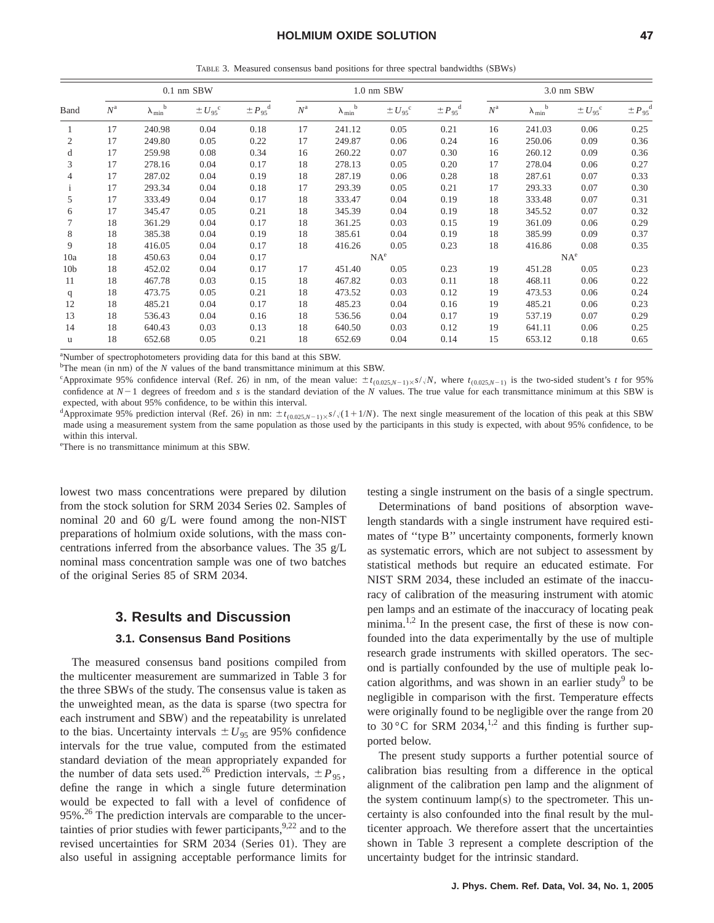TABLE 3. Measured consensus band positions for three spectral bandwidths (SBWs)

| Band            |             |                           | $0.1$ nm SBW         |                            |             |                           | 1.0 nm SBW           |                         | 3.0 nm SBW  |                           |                      |                         |
|-----------------|-------------|---------------------------|----------------------|----------------------------|-------------|---------------------------|----------------------|-------------------------|-------------|---------------------------|----------------------|-------------------------|
|                 | $N^{\rm a}$ | $\lambda_{min}^{\quad b}$ | $\pm U_{95}^{\circ}$ | $\pm P_{.95}$ <sup>d</sup> | $N^{\rm a}$ | $\lambda_{min}^{\quad b}$ | $\pm U_{95}^{\circ}$ | $\pm P_{95}^{\text{d}}$ | $N^{\rm a}$ | $\lambda_{min}^{\quad b}$ | $\pm U_{95}^{\circ}$ | $\pm P_{95}^{\text{d}}$ |
| 1               | 17          | 240.98                    | 0.04                 | 0.18                       | 17          | 241.12                    | 0.05                 | 0.21                    | 16          | 241.03                    | 0.06                 | 0.25                    |
| 2               | 17          | 249.80                    | 0.05                 | 0.22                       | 17          | 249.87                    | 0.06                 | 0.24                    | 16          | 250.06                    | 0.09                 | 0.36                    |
| d               | 17          | 259.98                    | 0.08                 | 0.34                       | 16          | 260.22                    | 0.07                 | 0.30                    | 16          | 260.12                    | 0.09                 | 0.36                    |
| 3               | 17          | 278.16                    | 0.04                 | 0.17                       | 18          | 278.13                    | 0.05                 | 0.20                    | 17          | 278.04                    | 0.06                 | 0.27                    |
| 4               | 17          | 287.02                    | 0.04                 | 0.19                       | 18          | 287.19                    | 0.06                 | 0.28                    | 18          | 287.61                    | 0.07                 | 0.33                    |
|                 | 17          | 293.34                    | 0.04                 | 0.18                       | 17          | 293.39                    | 0.05                 | 0.21                    | 17          | 293.33                    | 0.07                 | 0.30                    |
| 5               | 17          | 333.49                    | 0.04                 | 0.17                       | 18          | 333.47                    | 0.04                 | 0.19                    | 18          | 333.48                    | 0.07                 | 0.31                    |
| 6               | 17          | 345.47                    | 0.05                 | 0.21                       | 18          | 345.39                    | 0.04                 | 0.19                    | 18          | 345.52                    | 0.07                 | 0.32                    |
| 7               | 18          | 361.29                    | 0.04                 | 0.17                       | 18          | 361.25                    | 0.03                 | 0.15                    | 19          | 361.09                    | 0.06                 | 0.29                    |
| 8               | 18          | 385.38                    | 0.04                 | 0.19                       | 18          | 385.61                    | 0.04                 | 0.19                    | 18          | 385.99                    | 0.09                 | 0.37                    |
| 9               | 18          | 416.05                    | 0.04                 | 0.17                       | 18          | 416.26                    | 0.05                 | 0.23                    | 18          | 416.86                    | 0.08                 | 0.35                    |
| 10a             | 18          | 450.63                    | 0.04                 | 0.17                       |             |                           | $NA^e$               |                         |             |                           | NA <sup>e</sup>      |                         |
| 10 <sub>b</sub> | 18          | 452.02                    | 0.04                 | 0.17                       | 17          | 451.40                    | 0.05                 | 0.23                    | 19          | 451.28                    | 0.05                 | 0.23                    |
| 11              | 18          | 467.78                    | 0.03                 | 0.15                       | 18          | 467.82                    | 0.03                 | 0.11                    | 18          | 468.11                    | 0.06                 | 0.22                    |
| q               | 18          | 473.75                    | 0.05                 | 0.21                       | 18          | 473.52                    | 0.03                 | 0.12                    | 19          | 473.53                    | 0.06                 | 0.24                    |
| 12              | 18          | 485.21                    | 0.04                 | 0.17                       | 18          | 485.23                    | 0.04                 | 0.16                    | 19          | 485.21                    | 0.06                 | 0.23                    |
| 13              | 18          | 536.43                    | 0.04                 | 0.16                       | 18          | 536.56                    | 0.04                 | 0.17                    | 19          | 537.19                    | 0.07                 | 0.29                    |
| 14              | 18          | 640.43                    | 0.03                 | 0.13                       | 18          | 640.50                    | 0.03                 | 0.12                    | 19          | 641.11                    | 0.06                 | 0.25                    |
| u               | 18          | 652.68                    | 0.05                 | 0.21                       | 18          | 652.69                    | 0.04                 | 0.14                    | 15          | 653.12                    | 0.18                 | 0.65                    |

a Number of spectrophotometers providing data for this band at this SBW.

 $^b$ The mean (in nm) of the *N* values of the band transmittance minimum at this SBW.

"Approximate 95% confidence interval (Ref. 26) in nm, of the mean value:  $\pm t_{(0.025,N-1)\times S}/N$ , where  $t_{(0.025,N-1)}$  is the two-sided student's *t* for 95% confidence at  $N-1$  degrees of freedom and *s* is the standard deviation of the *N* values. The true value for each transmittance minimum at this SBW is expected, with about 95% confidence, to be within this interval.

dApproximate 95% prediction interval (Ref. 26) in nm:  $\pm t_{(0.025,N-1)\times} s/\sqrt{(1+1/N)}$ . The next single measurement of the location of this peak at this SBW made using a measurement system from the same population as those used by the participants in this study is expected, with about 95% confidence, to be within this interval.

e There is no transmittance minimum at this SBW.

lowest two mass concentrations were prepared by dilution from the stock solution for SRM 2034 Series 02. Samples of nominal 20 and 60 g/L were found among the non-NIST preparations of holmium oxide solutions, with the mass concentrations inferred from the absorbance values. The 35 g/L nominal mass concentration sample was one of two batches of the original Series 85 of SRM 2034.

## **3. Results and Discussion**

### **3.1. Consensus Band Positions**

The measured consensus band positions compiled from the multicenter measurement are summarized in Table 3 for the three SBWs of the study. The consensus value is taken as the unweighted mean, as the data is sparse (two spectra for each instrument and SBW) and the repeatability is unrelated to the bias. Uncertainty intervals  $\pm U_{95}$  are 95% confidence intervals for the true value, computed from the estimated standard deviation of the mean appropriately expanded for the number of data sets used.<sup>26</sup> Prediction intervals,  $\pm P_{95}$ , define the range in which a single future determination would be expected to fall with a level of confidence of 95%.<sup>26</sup> The prediction intervals are comparable to the uncertainties of prior studies with fewer participants,  $9,22$  and to the revised uncertainties for SRM 2034 (Series 01). They are also useful in assigning acceptable performance limits for testing a single instrument on the basis of a single spectrum.

Determinations of band positions of absorption wavelength standards with a single instrument have required estimates of ''type B'' uncertainty components, formerly known as systematic errors, which are not subject to assessment by statistical methods but require an educated estimate. For NIST SRM 2034, these included an estimate of the inaccuracy of calibration of the measuring instrument with atomic pen lamps and an estimate of the inaccuracy of locating peak minima.<sup>1,2</sup> In the present case, the first of these is now confounded into the data experimentally by the use of multiple research grade instruments with skilled operators. The second is partially confounded by the use of multiple peak location algorithms, and was shown in an earlier study<sup>9</sup> to be negligible in comparison with the first. Temperature effects were originally found to be negligible over the range from 20 to 30 °C for SRM 2034,<sup>1,2</sup> and this finding is further supported below.

The present study supports a further potential source of calibration bias resulting from a difference in the optical alignment of the calibration pen lamp and the alignment of the system continuum  $lamp(s)$  to the spectrometer. This uncertainty is also confounded into the final result by the multicenter approach. We therefore assert that the uncertainties shown in Table 3 represent a complete description of the uncertainty budget for the intrinsic standard.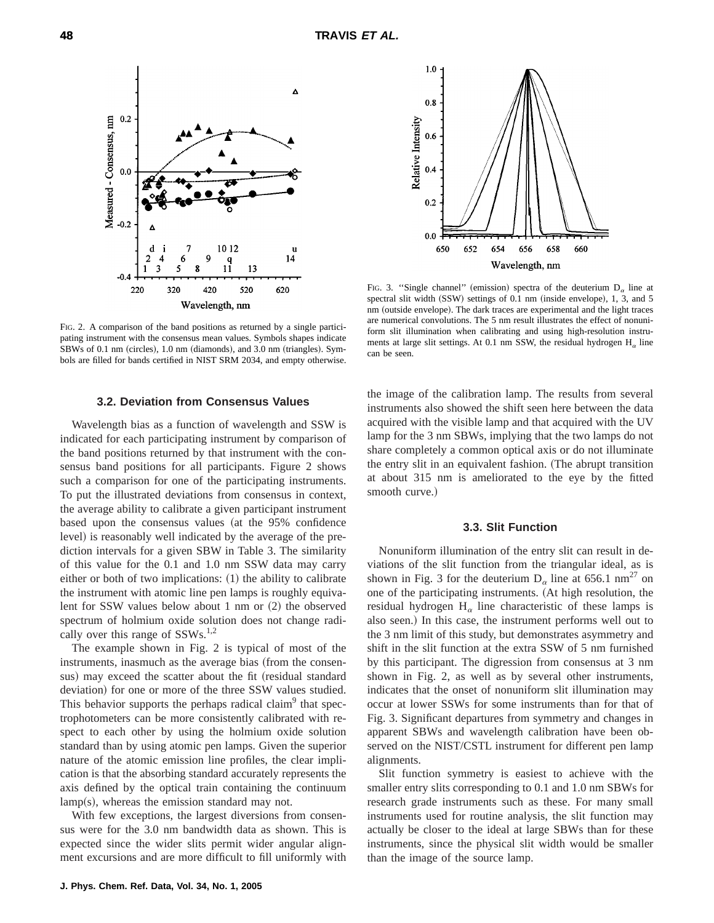

FIG. 2. A comparison of the band positions as returned by a single participating instrument with the consensus mean values. Symbols shapes indicate SBWs of 0.1 nm (circles),  $1.0$  nm (diamonds), and  $3.0$  nm (triangles). Symbols are filled for bands certified in NIST SRM 2034, and empty otherwise.

#### **3.2. Deviation from Consensus Values**

Wavelength bias as a function of wavelength and SSW is indicated for each participating instrument by comparison of the band positions returned by that instrument with the consensus band positions for all participants. Figure 2 shows such a comparison for one of the participating instruments. To put the illustrated deviations from consensus in context, the average ability to calibrate a given participant instrument based upon the consensus values (at the 95% confidence level) is reasonably well indicated by the average of the prediction intervals for a given SBW in Table 3. The similarity of this value for the 0.1 and 1.0 nm SSW data may carry either or both of two implications:  $(1)$  the ability to calibrate the instrument with atomic line pen lamps is roughly equivalent for SSW values below about 1 nm or  $(2)$  the observed spectrum of holmium oxide solution does not change radically over this range of SSWs.<sup>1,2</sup>

The example shown in Fig. 2 is typical of most of the instruments, inasmuch as the average bias (from the consensus) may exceed the scatter about the fit (residual standard deviation) for one or more of the three SSW values studied. This behavior supports the perhaps radical claim<sup>9</sup> that spectrophotometers can be more consistently calibrated with respect to each other by using the holmium oxide solution standard than by using atomic pen lamps. Given the superior nature of the atomic emission line profiles, the clear implication is that the absorbing standard accurately represents the axis defined by the optical train containing the continuum  $lamp(s)$ , whereas the emission standard may not.

With few exceptions, the largest diversions from consensus were for the 3.0 nm bandwidth data as shown. This is expected since the wider slits permit wider angular alignment excursions and are more difficult to fill uniformly with



FIG. 3. "Single channel" (emission) spectra of the deuterium  $D_{\alpha}$  line at spectral slit width  $(SSW)$  settings of 0.1 nm (inside envelope), 1, 3, and 5 nm (outside envelope). The dark traces are experimental and the light traces are numerical convolutions. The 5 nm result illustrates the effect of nonuniform slit illumination when calibrating and using high-resolution instruments at large slit settings. At 0.1 nm SSW, the residual hydrogen  $H_{\alpha}$  line can be seen.

the image of the calibration lamp. The results from several instruments also showed the shift seen here between the data acquired with the visible lamp and that acquired with the UV lamp for the 3 nm SBWs, implying that the two lamps do not share completely a common optical axis or do not illuminate the entry slit in an equivalent fashion. (The abrupt transition at about 315 nm is ameliorated to the eye by the fitted smooth curve.)

#### **3.3. Slit Function**

Nonuniform illumination of the entry slit can result in deviations of the slit function from the triangular ideal, as is shown in Fig. 3 for the deuterium  $D_{\alpha}$  line at 656.1 nm<sup>27</sup> on one of the participating instruments. (At high resolution, the residual hydrogen  $H_{\alpha}$  line characteristic of these lamps is also seen.) In this case, the instrument performs well out to the 3 nm limit of this study, but demonstrates asymmetry and shift in the slit function at the extra SSW of 5 nm furnished by this participant. The digression from consensus at 3 nm shown in Fig. 2, as well as by several other instruments, indicates that the onset of nonuniform slit illumination may occur at lower SSWs for some instruments than for that of Fig. 3. Significant departures from symmetry and changes in apparent SBWs and wavelength calibration have been observed on the NIST/CSTL instrument for different pen lamp alignments.

Slit function symmetry is easiest to achieve with the smaller entry slits corresponding to 0.1 and 1.0 nm SBWs for research grade instruments such as these. For many small instruments used for routine analysis, the slit function may actually be closer to the ideal at large SBWs than for these instruments, since the physical slit width would be smaller than the image of the source lamp.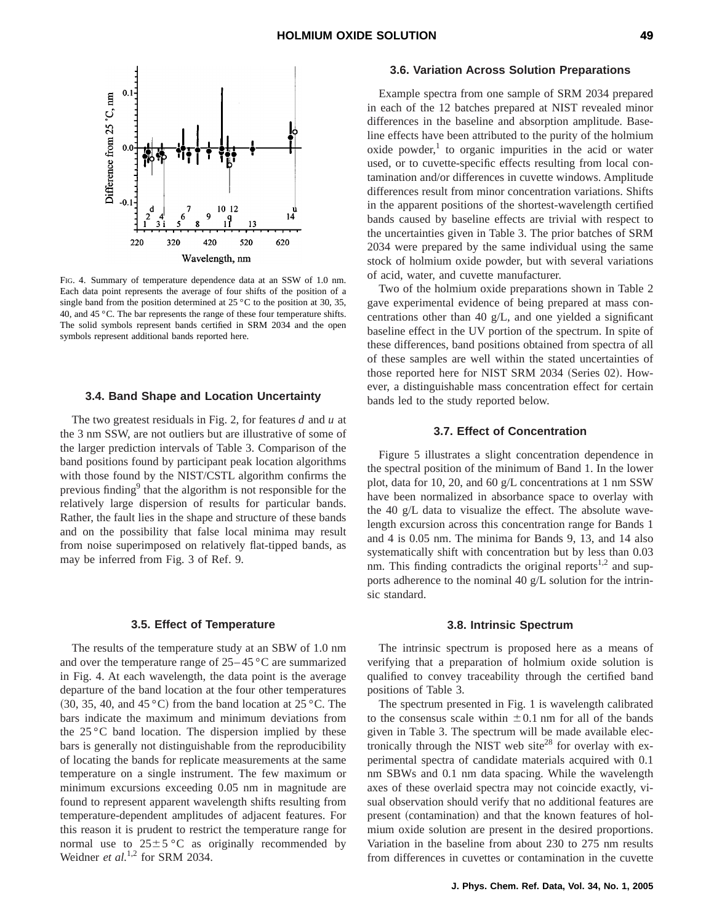

FIG. 4. Summary of temperature dependence data at an SSW of 1.0 nm. Each data point represents the average of four shifts of the position of a single band from the position determined at  $25\,^{\circ}\text{C}$  to the position at 30, 35, 40, and 45 °C. The bar represents the range of these four temperature shifts. The solid symbols represent bands certified in SRM 2034 and the open symbols represent additional bands reported here.

#### **3.4. Band Shape and Location Uncertainty**

The two greatest residuals in Fig. 2, for features *d* and *u* at the 3 nm SSW, are not outliers but are illustrative of some of the larger prediction intervals of Table 3. Comparison of the band positions found by participant peak location algorithms with those found by the NIST/CSTL algorithm confirms the previous finding<sup>9</sup> that the algorithm is not responsible for the relatively large dispersion of results for particular bands. Rather, the fault lies in the shape and structure of these bands and on the possibility that false local minima may result from noise superimposed on relatively flat-tipped bands, as may be inferred from Fig. 3 of Ref. 9.

#### **3.5. Effect of Temperature**

The results of the temperature study at an SBW of 1.0 nm and over the temperature range of  $25-45$  °C are summarized in Fig. 4. At each wavelength, the data point is the average departure of the band location at the four other temperatures  $(30, 35, 40, \text{ and } 45 \degree \text{C})$  from the band location at  $25 \degree \text{C}$ . The bars indicate the maximum and minimum deviations from the  $25^{\circ}$ C band location. The dispersion implied by these bars is generally not distinguishable from the reproducibility of locating the bands for replicate measurements at the same temperature on a single instrument. The few maximum or minimum excursions exceeding 0.05 nm in magnitude are found to represent apparent wavelength shifts resulting from temperature-dependent amplitudes of adjacent features. For this reason it is prudent to restrict the temperature range for normal use to  $25 \pm 5$  °C as originally recommended by Weidner *et al.*<sup>1,2</sup> for SRM 2034.

#### **3.6. Variation Across Solution Preparations**

Example spectra from one sample of SRM 2034 prepared in each of the 12 batches prepared at NIST revealed minor differences in the baseline and absorption amplitude. Baseline effects have been attributed to the purity of the holmium oxide powder, $\frac{1}{1}$  to organic impurities in the acid or water used, or to cuvette-specific effects resulting from local contamination and/or differences in cuvette windows. Amplitude differences result from minor concentration variations. Shifts in the apparent positions of the shortest-wavelength certified bands caused by baseline effects are trivial with respect to the uncertainties given in Table 3. The prior batches of SRM 2034 were prepared by the same individual using the same stock of holmium oxide powder, but with several variations of acid, water, and cuvette manufacturer.

Two of the holmium oxide preparations shown in Table 2 gave experimental evidence of being prepared at mass concentrations other than 40 g/L, and one yielded a significant baseline effect in the UV portion of the spectrum. In spite of these differences, band positions obtained from spectra of all of these samples are well within the stated uncertainties of those reported here for NIST SRM 2034 (Series 02). However, a distinguishable mass concentration effect for certain bands led to the study reported below.

### **3.7. Effect of Concentration**

Figure 5 illustrates a slight concentration dependence in the spectral position of the minimum of Band 1. In the lower plot, data for 10, 20, and 60 g/L concentrations at 1 nm SSW have been normalized in absorbance space to overlay with the 40 g/L data to visualize the effect. The absolute wavelength excursion across this concentration range for Bands 1 and 4 is 0.05 nm. The minima for Bands 9, 13, and 14 also systematically shift with concentration but by less than 0.03 nm. This finding contradicts the original reports<sup>1,2</sup> and supports adherence to the nominal 40 g/L solution for the intrinsic standard.

#### **3.8. Intrinsic Spectrum**

The intrinsic spectrum is proposed here as a means of verifying that a preparation of holmium oxide solution is qualified to convey traceability through the certified band positions of Table 3.

The spectrum presented in Fig. 1 is wavelength calibrated to the consensus scale within  $\pm 0.1$  nm for all of the bands given in Table 3. The spectrum will be made available electronically through the NIST web site<sup>28</sup> for overlay with experimental spectra of candidate materials acquired with 0.1 nm SBWs and 0.1 nm data spacing. While the wavelength axes of these overlaid spectra may not coincide exactly, visual observation should verify that no additional features are present (contamination) and that the known features of holmium oxide solution are present in the desired proportions. Variation in the baseline from about 230 to 275 nm results from differences in cuvettes or contamination in the cuvette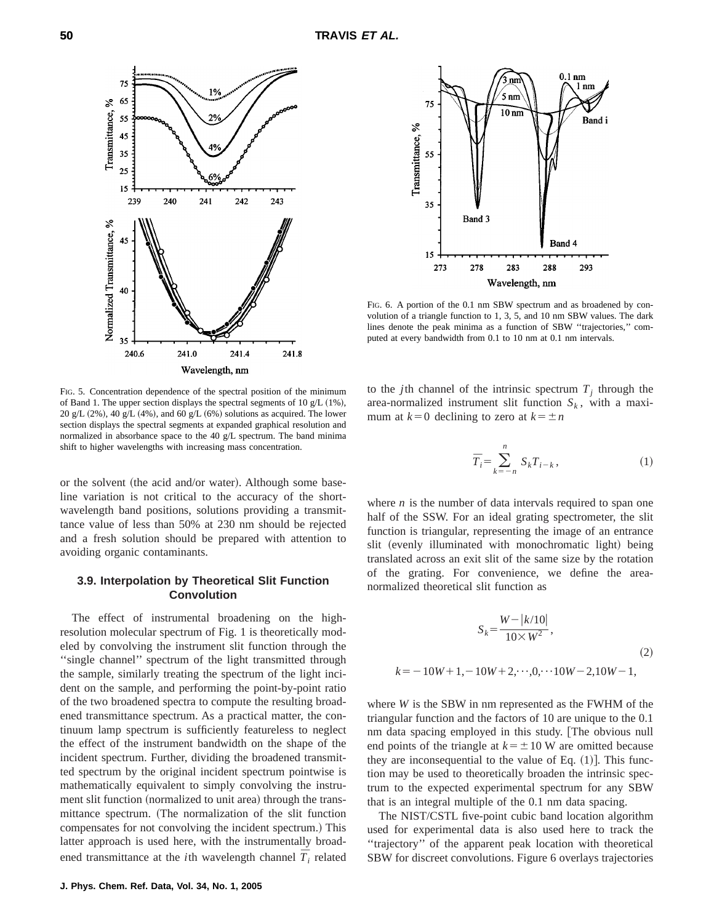



FIG. 6. A portion of the 0.1 nm SBW spectrum and as broadened by convolution of a triangle function to 1, 3, 5, and 10 nm SBW values. The dark lines denote the peak minima as a function of SBW ''trajectories,'' computed at every bandwidth from 0.1 to 10 nm at 0.1 nm intervals.

FIG. 5. Concentration dependence of the spectral position of the minimum of Band 1. The upper section displays the spectral segments of 10 g/L  $(1\%)$ , 20 g/L  $(2\%)$ , 40 g/L  $(4\%)$ , and 60 g/L  $(6\%)$  solutions as acquired. The lower section displays the spectral segments at expanded graphical resolution and normalized in absorbance space to the 40 g/L spectrum. The band minima shift to higher wavelengths with increasing mass concentration.

or the solvent (the acid and/or water). Although some baseline variation is not critical to the accuracy of the shortwavelength band positions, solutions providing a transmittance value of less than 50% at 230 nm should be rejected and a fresh solution should be prepared with attention to avoiding organic contaminants.

### **3.9. Interpolation by Theoretical Slit Function Convolution**

The effect of instrumental broadening on the highresolution molecular spectrum of Fig. 1 is theoretically modeled by convolving the instrument slit function through the "single channel" spectrum of the light transmitted through the sample, similarly treating the spectrum of the light incident on the sample, and performing the point-by-point ratio of the two broadened spectra to compute the resulting broadened transmittance spectrum. As a practical matter, the continuum lamp spectrum is sufficiently featureless to neglect the effect of the instrument bandwidth on the shape of the incident spectrum. Further, dividing the broadened transmitted spectrum by the original incident spectrum pointwise is mathematically equivalent to simply convolving the instrument slit function (normalized to unit area) through the transmittance spectrum. (The normalization of the slit function compensates for not convolving the incident spectrum.) This latter approach is used here, with the instrumentally broadened transmittance at the *i*th wavelength channel  $\overline{T}_i$  related to the *j*th channel of the intrinsic spectrum  $T_i$  through the area-normalized instrument slit function  $S_k$ , with a maximum at  $k=0$  declining to zero at  $k=\pm n$ 

$$
\overline{T}_i = \sum_{k=-n}^n S_k T_{i-k},\tag{1}
$$

where *n* is the number of data intervals required to span one half of the SSW. For an ideal grating spectrometer, the slit function is triangular, representing the image of an entrance slit (evenly illuminated with monochromatic light) being translated across an exit slit of the same size by the rotation of the grating. For convenience, we define the areanormalized theoretical slit function as

$$
S_k = \frac{W - |k/10|}{10 \times W^2},
$$
  
(2)  

$$
k = -10W + 1, -10W + 2, \dots, 0, \dots, 10W - 2, 10W - 1,
$$

where *W* is the SBW in nm represented as the FWHM of the triangular function and the factors of 10 are unique to the 0.1 nm data spacing employed in this study. [The obvious null end points of the triangle at  $k = \pm 10$  W are omitted because they are inconsequential to the value of Eq.  $(1)$ . This function may be used to theoretically broaden the intrinsic spectrum to the expected experimental spectrum for any SBW that is an integral multiple of the 0.1 nm data spacing.

The NIST/CSTL five-point cubic band location algorithm used for experimental data is also used here to track the ''trajectory'' of the apparent peak location with theoretical SBW for discreet convolutions. Figure 6 overlays trajectories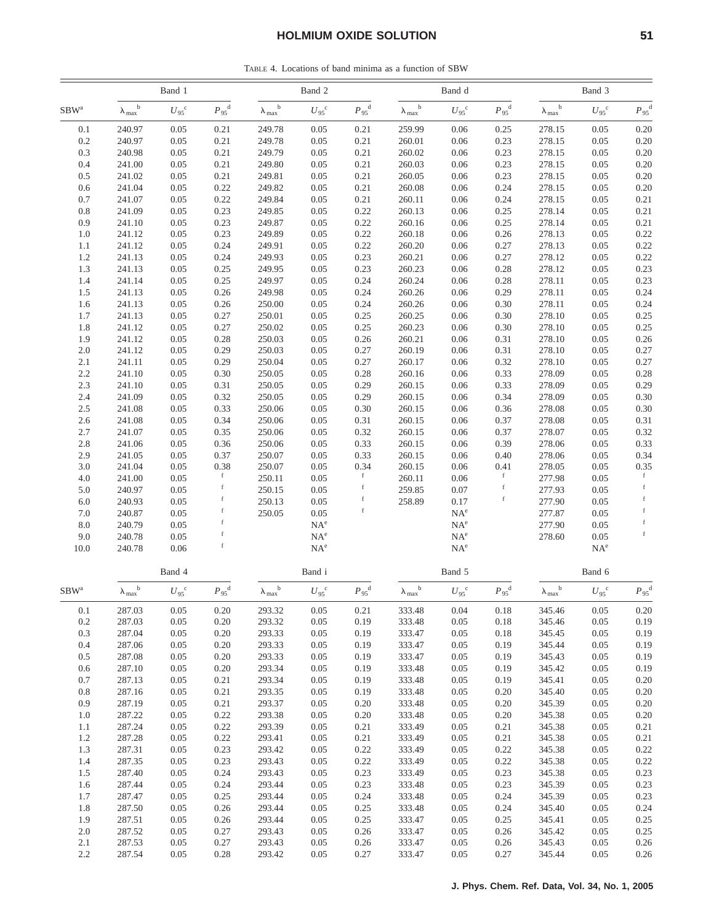TABLE 4. Locations of band minima as a function of SBW

|                  | Band 1                    |                  |                        | Band 2                                             |                          |                        | Band d                                      |                          |                        | Band 3                    |                  |                        |
|------------------|---------------------------|------------------|------------------------|----------------------------------------------------|--------------------------|------------------------|---------------------------------------------|--------------------------|------------------------|---------------------------|------------------|------------------------|
| SBW <sup>a</sup> | $\lambda_{max}^{\quad b}$ | $U_{95}^{\circ}$ | $P_{95}^{\text{d}}$    | $\mathbf b$<br>$\lambda_{\text{max}}$ <sup>t</sup> | $U_{95}^{\circ}$         | $P_{.95}$ <sup>d</sup> | $\mathbf b$<br>$\lambda_{max}$              | ${U_{95}}^c$             | $P_{.95}$ <sup>d</sup> | $\lambda_{max}^{\quad b}$ | $U_{95}^{\circ}$ | $P_{95}^{\text{d}}$    |
| 0.1              | 240.97                    | 0.05             | 0.21                   | 249.78                                             | 0.05                     | 0.21                   | 259.99                                      | 0.06                     | 0.25                   | 278.15                    | 0.05             | 0.20                   |
| 0.2              | 240.97                    | 0.05             | 0.21                   | 249.78                                             | 0.05                     | 0.21                   | 260.01                                      | 0.06                     | 0.23                   | 278.15                    | 0.05             | 0.20                   |
| 0.3              | 240.98                    | 0.05             | 0.21                   | 249.79                                             | 0.05                     | 0.21                   | 260.02                                      | 0.06                     | 0.23                   | 278.15                    | 0.05             | 0.20                   |
| 0.4              | 241.00                    | 0.05             | 0.21                   | 249.80                                             | 0.05                     | 0.21                   | 260.03                                      | 0.06                     | 0.23                   | 278.15                    | 0.05             | 0.20                   |
| 0.5              | 241.02                    | 0.05             | 0.21                   | 249.81                                             | 0.05                     | 0.21                   | 260.05                                      | 0.06                     | 0.23                   | 278.15                    | 0.05             | 0.20                   |
| 0.6              | 241.04                    | 0.05             | 0.22                   | 249.82                                             | 0.05                     | 0.21                   | 260.08                                      | 0.06                     | 0.24                   | 278.15                    | 0.05             | 0.20                   |
| 0.7              | 241.07                    | 0.05             | 0.22                   | 249.84                                             | 0.05                     | 0.21                   | 260.11                                      | 0.06                     | 0.24                   | 278.15                    | 0.05             | 0.21                   |
| 0.8              | 241.09                    | 0.05             | 0.23                   | 249.85                                             | 0.05                     | 0.22                   | 260.13                                      | 0.06                     | 0.25                   | 278.14                    | 0.05             | 0.21                   |
| 0.9              | 241.10                    | 0.05             | 0.23                   | 249.87                                             | 0.05                     | 0.22                   | 260.16                                      | 0.06                     | 0.25                   | 278.14                    | 0.05             | 0.21                   |
| 1.0              | 241.12                    | 0.05             | 0.23                   | 249.89                                             | 0.05                     | 0.22                   | 260.18                                      | 0.06                     | 0.26                   | 278.13                    | 0.05             | 0.22                   |
| 1.1              | 241.12                    | 0.05             | 0.24                   | 249.91                                             | 0.05                     | 0.22                   | 260.20                                      | 0.06                     | 0.27                   | 278.13                    | 0.05             | 0.22                   |
| 1.2              | 241.13                    | 0.05             | 0.24                   | 249.93                                             | 0.05                     | 0.23                   | 260.21                                      | 0.06                     | 0.27                   | 278.12                    | 0.05             | 0.22                   |
| 1.3              | 241.13                    | 0.05             | 0.25                   | 249.95                                             | 0.05                     | 0.23                   | 260.23                                      | 0.06                     | 0.28                   | 278.12                    | 0.05             | 0.23                   |
| 1.4              | 241.14                    | 0.05             | 0.25                   | 249.97                                             | 0.05                     | 0.24                   | 260.24                                      | 0.06                     | 0.28                   | 278.11                    | 0.05             | 0.23                   |
| 1.5              | 241.13                    | 0.05             | 0.26                   | 249.98                                             | 0.05                     | 0.24                   | 260.26                                      | 0.06                     | 0.29                   | 278.11                    | 0.05             | 0.24                   |
| 1.6              | 241.13                    | 0.05             | 0.26                   | 250.00                                             | 0.05                     | 0.24                   | 260.26                                      | 0.06                     | 0.30                   | 278.11                    | 0.05             | 0.24                   |
| 1.7              | 241.13                    | 0.05             | 0.27                   | 250.01                                             | 0.05                     | 0.25                   | 260.25                                      | 0.06                     | 0.30                   | 278.10                    | 0.05             | 0.25                   |
| 1.8              | 241.12                    | 0.05             | 0.27                   | 250.02                                             | 0.05                     | 0.25                   | 260.23                                      | $0.06\,$                 | 0.30                   | 278.10                    | 0.05             | 0.25                   |
| 1.9              | 241.12                    | 0.05             | 0.28                   | 250.03                                             | 0.05                     | 0.26                   | 260.21                                      | 0.06                     | 0.31                   | 278.10                    | 0.05             | 0.26                   |
| 2.0              | 241.12                    | 0.05             | 0.29                   | 250.03                                             | 0.05                     | 0.27                   | 260.19                                      | 0.06                     | 0.31                   | 278.10                    | 0.05             | 0.27                   |
| 2.1              | 241.11                    | 0.05             | 0.29                   | 250.04                                             | 0.05                     | 0.27                   | 260.17                                      | 0.06                     | 0.32                   | 278.10                    | 0.05             | 0.27                   |
| 2.2              | 241.10                    | 0.05             | 0.30                   | 250.05                                             | 0.05                     | 0.28                   | 260.16                                      | 0.06                     | 0.33                   | 278.09                    | 0.05             | 0.28                   |
| 2.3              | 241.10                    | 0.05             | 0.31                   | 250.05                                             | 0.05                     | 0.29                   | 260.15                                      | 0.06                     | 0.33                   | 278.09                    | 0.05             | 0.29                   |
| 2.4              | 241.09                    | 0.05             | 0.32                   | 250.05                                             | 0.05                     | 0.29                   | 260.15                                      | 0.06                     | 0.34                   | 278.09                    | 0.05             | 0.30                   |
| 2.5              | 241.08                    | 0.05             | 0.33                   | 250.06                                             | 0.05                     | 0.30                   | 260.15                                      | 0.06                     | 0.36                   | 278.08                    | 0.05             | 0.30                   |
| 2.6              | 241.08                    | 0.05             | 0.34                   | 250.06                                             | 0.05                     | 0.31                   | 260.15                                      | 0.06                     | 0.37                   | 278.08                    | 0.05             | 0.31                   |
| 2.7              | 241.07                    | 0.05             | 0.35                   | 250.06                                             | 0.05                     | 0.32                   | 260.15                                      | 0.06                     | 0.37                   | 278.07                    | 0.05             | 0.32                   |
| 2.8              | 241.06                    | 0.05             | 0.36                   | 250.06                                             | 0.05                     | 0.33                   | 260.15                                      | 0.06                     | 0.39                   | 278.06                    | 0.05             | 0.33                   |
| 2.9              | 241.05                    | 0.05             | 0.37                   | 250.07                                             | 0.05                     | 0.33                   | 260.15                                      | 0.06                     | 0.40                   | 278.06                    | 0.05             | 0.34                   |
| 3.0              | 241.04                    | 0.05             | 0.38<br>$\rm f$        | 250.07                                             | 0.05                     | 0.34                   | 260.15                                      | 0.06                     | 0.41<br>f              | 278.05                    | 0.05             | 0.35<br>$\mathbf f$    |
| 4.0              | 241.00                    | 0.05             | f                      | 250.11                                             | 0.05                     |                        | 260.11                                      | 0.06                     |                        | 277.98                    | 0.05             | $\mathbf f$            |
| 5.0<br>6.0       | 240.97<br>240.93          | 0.05<br>0.05     | f                      | 250.15<br>250.13                                   | 0.05<br>0.05             | f                      | 259.85<br>258.89                            | 0.07<br>0.17             | f                      | 277.93<br>277.90          | 0.05<br>0.05     | $\mathbf f$            |
| 7.0              | 240.87                    | 0.05             | $\mathbf f$            | 250.05                                             | 0.05                     | $\mathbf f$            |                                             | $NA^e$                   |                        | 277.87                    | 0.05             | $\mathbf f$            |
| 8.0              | 240.79                    | 0.05             | f                      |                                                    | $NA^e$                   |                        |                                             | $NA^e$                   |                        | 277.90                    | 0.05             | $\mathbf f$            |
| 9.0              | 240.78                    | 0.05             | $\rm f$                |                                                    | $\mathrm{NA}^\mathrm{e}$ |                        |                                             | $\mathrm{NA}^\mathrm{e}$ |                        | 278.60                    | 0.05             | $\mathbf f$            |
| 10.0             | 240.78                    | 0.06             | $\rm f$                |                                                    | $NA^e$                   |                        |                                             | $\mathrm{NA}^\mathrm{e}$ |                        |                           | $NA^e$           |                        |
|                  |                           |                  |                        |                                                    |                          |                        |                                             |                          |                        |                           |                  |                        |
|                  |                           | Band 4           |                        |                                                    | Band i                   |                        |                                             | Band 5                   |                        |                           | Band 6           |                        |
| $SBW^a$          | $\lambda_{max}^{\quad b}$ | $U_{95}^{\circ}$ | $P_{.95}$ <sup>d</sup> | $\mathbf b$<br>$\lambda_{max}$ <sup>t</sup>        | $U_{95}^{\circ}$         | $P_{95}$ <sup>d</sup>  | $\mathbf b$<br>$\lambda_{max}$ <sup>t</sup> | $U_{95}^{\circ}$         | $P_{.95}$ <sup>d</sup> | $\lambda_{max}^{\quad b}$ | $U_{95}^{\circ}$ | $P_{.95}$ <sup>d</sup> |
| $0.1\,$          | 287.03                    | 0.05             | 0.20                   | 293.32                                             | 0.05                     | 0.21                   | 333.48                                      | 0.04                     | 0.18                   | 345.46                    | 0.05             | 0.20                   |
| $0.2\,$          | 287.03                    | 0.05             | 0.20                   | 293.32                                             | 0.05                     | 0.19                   | 333.48                                      | 0.05                     | 0.18                   | 345.46                    | 0.05             | 0.19                   |
| 0.3              | 287.04                    | 0.05             | 0.20                   | 293.33                                             | 0.05                     | 0.19                   | 333.47                                      | 0.05                     | 0.18                   | 345.45                    | 0.05             | 0.19                   |
| 0.4              | 287.06                    | 0.05             | 0.20                   | 293.33                                             | 0.05                     | 0.19                   | 333.47                                      | 0.05                     | 0.19                   | 345.44                    | 0.05             | 0.19                   |
| 0.5              | 287.08                    | 0.05             | 0.20                   | 293.33                                             | 0.05                     | 0.19                   | 333.47                                      | 0.05                     | 0.19                   | 345.43                    | 0.05             | 0.19                   |
| 0.6              | 287.10                    | 0.05             | 0.20                   | 293.34                                             | 0.05                     | 0.19                   | 333.48                                      | 0.05                     | 0.19                   | 345.42                    | 0.05             | 0.19                   |
| 0.7              | 287.13                    | 0.05             | 0.21                   | 293.34                                             | 0.05                     | 0.19                   | 333.48                                      | 0.05                     | 0.19                   | 345.41                    | 0.05             | 0.20                   |
| 0.8              | 287.16                    | 0.05             | 0.21                   | 293.35                                             | 0.05                     | 0.19                   | 333.48                                      | 0.05                     | 0.20                   | 345.40                    | 0.05             | 0.20                   |
| 0.9              | 287.19                    | 0.05             | 0.21                   | 293.37                                             | 0.05                     | 0.20                   | 333.48                                      | 0.05                     | 0.20                   | 345.39                    | 0.05             | 0.20                   |
| 1.0              | 287.22                    | 0.05             | 0.22                   | 293.38                                             | 0.05                     | 0.20                   | 333.48                                      | 0.05                     | 0.20                   | 345.38                    | 0.05             | 0.20                   |
| 1.1              | 287.24                    | 0.05             | 0.22                   | 293.39                                             | 0.05                     | 0.21                   | 333.49                                      | 0.05                     | 0.21                   | 345.38                    | 0.05             | 0.21                   |
| 1.2              | 287.28                    | 0.05             | 0.22                   | 293.41                                             | 0.05                     | 0.21                   | 333.49                                      | 0.05                     | 0.21                   | 345.38                    | 0.05             | 0.21                   |
| 1.3              | 287.31                    | 0.05             | 0.23                   | 293.42                                             | 0.05                     | 0.22                   | 333.49                                      | 0.05                     | 0.22                   | 345.38                    | 0.05             | 0.22                   |
| 1.4              | 287.35                    | 0.05             | 0.23                   | 293.43                                             | 0.05                     | 0.22                   | 333.49                                      | 0.05                     | 0.22                   | 345.38                    | 0.05             | 0.22                   |
| 1.5              | 287.40                    | 0.05             | 0.24                   | 293.43                                             | 0.05                     | 0.23                   | 333.49                                      | 0.05                     | 0.23                   | 345.38                    | 0.05             | 0.23                   |
| 1.6              | 287.44                    | 0.05             | 0.24                   | 293.44                                             | 0.05                     | 0.23                   | 333.48                                      | 0.05                     | 0.23                   | 345.39                    | 0.05             | 0.23                   |
| 1.7              | 287.47                    | 0.05             | 0.25                   | 293.44                                             | 0.05                     | 0.24                   | 333.48                                      | 0.05                     | 0.24                   | 345.39                    | 0.05             | 0.23                   |
| 1.8              | 287.50                    | 0.05             | 0.26                   | 293.44                                             | 0.05                     | 0.25                   | 333.48                                      | 0.05                     | 0.24                   | 345.40                    | 0.05             | 0.24                   |
| 1.9              | 287.51                    | 0.05             | 0.26                   | 293.44                                             | 0.05                     | 0.25                   | 333.47                                      | 0.05                     | 0.25                   | 345.41                    | 0.05             | 0.25                   |
| 2.0              | 287.52                    | 0.05             | 0.27                   | 293.43                                             | 0.05                     | 0.26                   | 333.47                                      | 0.05                     | 0.26                   | 345.42                    | 0.05             | 0.25                   |
| 2.1              | 287.53                    | 0.05             | 0.27                   | 293.43                                             | 0.05                     | 0.26                   | 333.47                                      | 0.05                     | 0.26                   | 345.43                    | 0.05             | 0.26                   |
| 2.2              | 287.54                    | 0.05             | 0.28                   | 293.42                                             | 0.05                     | 0.27                   | 333.47                                      | 0.05                     | 0.27                   | 345.44                    | 0.05             | 0.26                   |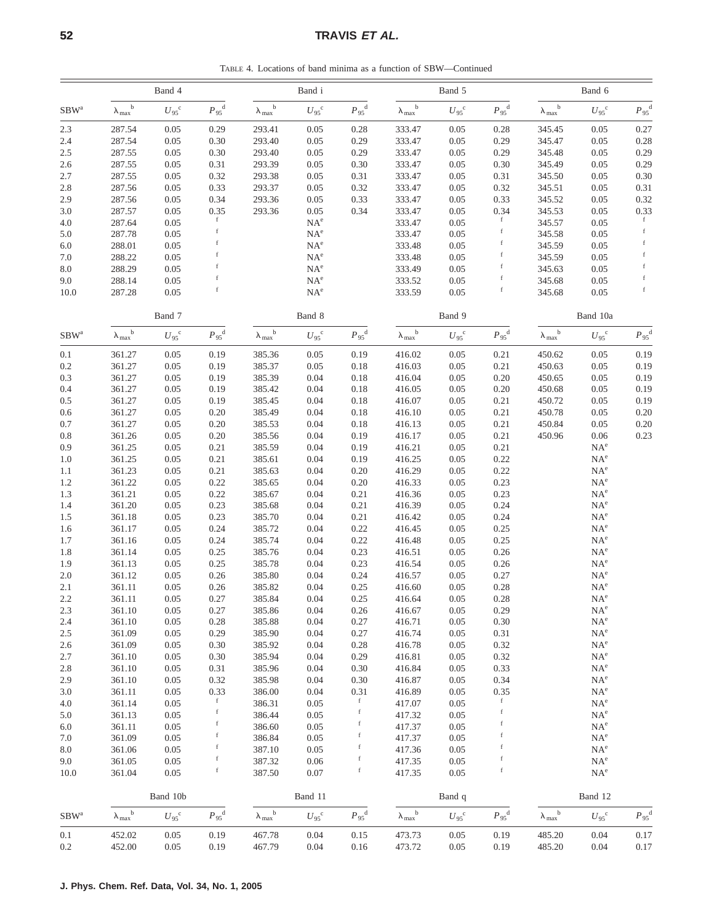# **52** TRAVIS *ET AL.*

TABLE 4. Locations of band minima as a function of SBW—Continued

|                  | Band 4                        |                        |                        |                                  | Band i           |                        |                                  | Band 5             |                        |                                | Band 6                    |                        |  |
|------------------|-------------------------------|------------------------|------------------------|----------------------------------|------------------|------------------------|----------------------------------|--------------------|------------------------|--------------------------------|---------------------------|------------------------|--|
| $SBW^a$          | $\lambda_{\rm max}^{\quad b}$ | $U_{.95}$ <sup>c</sup> | $P_{.95}$ <sup>d</sup> | $\lambda_{max}^{\quad b}$        | ${U_{95}}^c$     | $P_{.95}$ <sup>d</sup> | $\lambda_{max}^{\quad b}$        | $U_{95}^{\quad c}$ | $P_{.95}$ <sup>d</sup> | $\mathbf b$<br>$\lambda_{max}$ | $U_{95}^{\circ}$          | $P_{.95}^{\text{d}}$   |  |
| 2.3              | 287.54                        | 0.05                   | 0.29                   | 293.41                           | 0.05             | 0.28                   | 333.47                           | 0.05               | 0.28                   | 345.45                         | 0.05                      | 0.27                   |  |
| 2.4              | 287.54                        | 0.05                   | 0.30                   | 293.40                           | 0.05             | 0.29                   | 333.47                           | 0.05               | 0.29                   | 345.47                         | 0.05                      | 0.28                   |  |
| $2.5\,$          | 287.55                        | 0.05                   | 0.30                   | 293.40                           | 0.05             | 0.29                   | 333.47                           | 0.05               | 0.29                   | 345.48                         | 0.05                      | 0.29                   |  |
| $2.6\,$          | 287.55                        | 0.05                   | 0.31                   | 293.39                           | 0.05             | 0.30                   | 333.47                           | 0.05               | 0.30                   | 345.49                         | 0.05                      | 0.29                   |  |
| 2.7              | 287.55                        | 0.05                   | 0.32                   | 293.38                           | 0.05             | 0.31                   | 333.47                           | 0.05               | 0.31                   | 345.50                         | 0.05                      | 0.30                   |  |
| $2.8\,$          | 287.56                        | 0.05                   | 0.33                   | 293.37                           | 0.05             | 0.32                   | 333.47                           | 0.05               | 0.32                   | 345.51                         | 0.05                      | 0.31                   |  |
| 2.9              | 287.56                        | 0.05                   | 0.34                   | 293.36                           | 0.05             | 0.33                   | 333.47                           | 0.05               | 0.33                   | 345.52                         | 0.05                      | 0.32                   |  |
| 3.0              | 287.57<br>287.64              | 0.05<br>0.05           | 0.35<br>f              | 293.36                           | 0.05<br>$NA^e$   | 0.34                   | 333.47<br>333.47                 | 0.05<br>0.05       | 0.34<br>f              | 345.53<br>345.57               | 0.05<br>0.05              | 0.33<br>f              |  |
| $4.0$<br>5.0     | 287.78                        | 0.05                   | f                      |                                  | $NA^e$           |                        | 333.47                           | 0.05               | $\mathbf f$            | 345.58                         | 0.05                      | $\mathbf f$            |  |
| 6.0              | 288.01                        | 0.05                   |                        |                                  | $NA^e$           |                        | 333.48                           | 0.05               |                        | 345.59                         | 0.05                      | $\mathbf f$            |  |
| $7.0\,$          | 288.22                        | 0.05                   |                        |                                  | $NA^e$           |                        | 333.48                           | 0.05               |                        | 345.59                         | 0.05                      | f                      |  |
| $8.0\,$          | 288.29                        | 0.05                   |                        |                                  | $NA^e$           |                        | 333.49                           | 0.05               | f                      | 345.63                         | 0.05                      | f                      |  |
| 9.0              | 288.14                        | 0.05                   |                        |                                  | $NA^e$           |                        | 333.52                           | 0.05               |                        | 345.68                         | 0.05                      | $\mathbf f$            |  |
| 10.0             | 287.28                        | 0.05                   |                        |                                  | $NA^e$           |                        | 333.59                           | 0.05               |                        | 345.68                         | 0.05                      | $\mathbf f$            |  |
|                  |                               | Band 7                 |                        |                                  | Band 8           |                        |                                  | Band 9             |                        |                                | Band 10a                  |                        |  |
| $SBW^a$          | $\lambda_{max}^{\quad b}$     | ${U_{95}}^{\rm c}$     | $P_{.95}$ <sup>d</sup> | $\lambda_{max}^{\phantom{max}b}$ | ${U_{95}}^c$     | $P_{.95}$ <sup>d</sup> | $\lambda_{max}^{\phantom{max}b}$ | $U_{95}^{\circ}$   | $P_{.95}$ <sup>d</sup> | $\lambda_{max}^{\quad b}$      | $U_{95}^{\circ}$          | $P_{95}$ <sup>d</sup>  |  |
| 0.1              | 361.27                        | 0.05                   | 0.19                   | 385.36                           | 0.05             | 0.19                   | 416.02                           | 0.05               | 0.21                   | 450.62                         | 0.05                      | 0.19                   |  |
| $0.2\,$          | 361.27                        | 0.05                   | 0.19                   | 385.37                           | 0.05             | $0.18\,$               | 416.03                           | 0.05               | 0.21                   | 450.63                         | 0.05                      | 0.19                   |  |
| 0.3              | 361.27                        | 0.05                   | 0.19                   | 385.39                           | 0.04             | 0.18                   | 416.04                           | 0.05               | 0.20                   | 450.65                         | 0.05                      | 0.19                   |  |
| 0.4              | 361.27                        | 0.05                   | 0.19                   | 385.42                           | 0.04             | 0.18                   | 416.05                           | 0.05               | 0.20                   | 450.68                         | 0.05                      | 0.19                   |  |
| $0.5\,$          | 361.27<br>361.27              | 0.05<br>0.05           | 0.19<br>0.20           | 385.45<br>385.49                 | 0.04<br>0.04     | 0.18<br>0.18           | 416.07<br>416.10                 | 0.05<br>0.05       | 0.21<br>0.21           | 450.72<br>450.78               | 0.05<br>0.05              | 0.19<br>0.20           |  |
| $0.6\,$<br>0.7   | 361.27                        | 0.05                   | 0.20                   | 385.53                           | 0.04             | 0.18                   | 416.13                           | 0.05               | 0.21                   | 450.84                         | 0.05                      | 0.20                   |  |
| $0.8\,$          | 361.26                        | 0.05                   | 0.20                   | 385.56                           | 0.04             | 0.19                   | 416.17                           | 0.05               | 0.21                   | 450.96                         | 0.06                      | 0.23                   |  |
| $0.9\,$          | 361.25                        | 0.05                   | 0.21                   | 385.59                           | 0.04             | 0.19                   | 416.21                           | 0.05               | 0.21                   |                                | $NA^e$                    |                        |  |
| 1.0              | 361.25                        | 0.05                   | 0.21                   | 385.61                           | 0.04             | 0.19                   | 416.25                           | 0.05               | 0.22                   |                                | $NA^e$                    |                        |  |
| 1.1              | 361.23                        | 0.05                   | 0.21                   | 385.63                           | 0.04             | 0.20                   | 416.29                           | 0.05               | 0.22                   |                                | $NA^e$                    |                        |  |
| 1.2              | 361.22                        | 0.05                   | 0.22                   | 385.65                           | 0.04             | 0.20                   | 416.33                           | 0.05               | 0.23                   |                                | $NA^e$                    |                        |  |
| 1.3              | 361.21                        | 0.05                   | 0.22                   | 385.67                           | 0.04             | 0.21                   | 416.36                           | 0.05               | 0.23                   |                                | $NA^e$                    |                        |  |
| 1.4              | 361.20                        | 0.05                   | 0.23                   | 385.68                           | 0.04             | 0.21                   | 416.39                           | 0.05               | 0.24                   |                                | $NA^e$                    |                        |  |
| $1.5\,$          | 361.18                        | 0.05                   | 0.23                   | 385.70                           | 0.04             | 0.21                   | 416.42                           | 0.05               | 0.24                   |                                | $NA^e$                    |                        |  |
| 1.6              | 361.17                        | 0.05                   | 0.24                   | 385.72                           | 0.04             | 0.22                   | 416.45                           | 0.05               | 0.25                   |                                | NA <sup>e</sup>           |                        |  |
| 1.7              | 361.16                        | 0.05                   | 0.24                   | 385.74                           | 0.04             | 0.22                   | 416.48                           | 0.05               | 0.25                   |                                | $NA^e$                    |                        |  |
| 1.8              | 361.14                        | 0.05                   | 0.25                   | 385.76                           | 0.04             | 0.23                   | 416.51                           | 0.05               | 0.26                   |                                | $NA^e$                    |                        |  |
| 1.9              | 361.13<br>361.12              | 0.05<br>0.05           | 0.25<br>0.26           | 385.78<br>385.80                 | 0.04<br>0.04     | 0.23<br>0.24           | 416.54<br>416.57                 | 0.05<br>0.05       | 0.26<br>0.27           |                                | $NA^e$<br>NA <sup>e</sup> |                        |  |
| $2.0\,$<br>2.1   | 361.11                        | 0.05                   | 0.26                   | 385.82                           | 0.04             | 0.25                   | 416.60                           | 0.05               | 0.28                   |                                | NA <sup>e</sup>           |                        |  |
| 2.2              | 361.11                        | 0.05                   | 0.27                   | 385.84                           | 0.04             | 0.25                   | 416.64                           | 0.05               | 0.28                   |                                | $NA^e$                    |                        |  |
| $2.3\,$          | 361.10                        | 0.05                   | 0.27                   | 385.86                           | 0.04             | 0.26                   | 416.67                           | 0.05               | 0.29                   |                                | $NA^e$                    |                        |  |
| 2.4              | 361.10                        | 0.05                   | 0.28                   | 385.88                           | 0.04             | 0.27                   | 416.71                           | 0.05               | 0.30                   |                                | $NA^e$                    |                        |  |
| $2.5\,$          | 361.09                        | 0.05                   | 0.29                   | 385.90                           | 0.04             | 0.27                   | 416.74                           | 0.05               | 0.31                   |                                | $NA^e$                    |                        |  |
| $2.6\,$          | 361.09                        | 0.05                   | 0.30                   | 385.92                           | 0.04             | 0.28                   | 416.78                           | 0.05               | 0.32                   |                                | $NA^e$                    |                        |  |
| 2.7              | 361.10                        | 0.05                   | 0.30                   | 385.94                           | 0.04             | 0.29                   | 416.81                           | 0.05               | 0.32                   |                                | $NA^e$                    |                        |  |
| 2.8              | 361.10                        | 0.05                   | 0.31                   | 385.96                           | 0.04             | 0.30                   | 416.84                           | 0.05               | 0.33                   |                                | $NA^e$                    |                        |  |
| 2.9              | 361.10                        | 0.05                   | 0.32                   | 385.98                           | 0.04             | 0.30                   | 416.87                           | 0.05               | 0.34                   |                                | $NA^e$                    |                        |  |
| $3.0\,$          | 361.11                        | 0.05                   | 0.33                   | 386.00                           | 0.04             | 0.31                   | 416.89                           | 0.05               | 0.35                   |                                | $NA^e$                    |                        |  |
| 4.0              | 361.14                        | 0.05                   | f                      | 386.31                           | 0.05             | f                      | 417.07                           | 0.05               | f                      |                                | $NA^e$                    |                        |  |
| 5.0              | 361.13                        | 0.05                   | $\mathbf f$<br>f       | 386.44                           | 0.05             | f                      | 417.32                           | 0.05               | f                      |                                | $NA^e$                    |                        |  |
| $6.0\,$          | 361.11                        | 0.05                   | f                      | 386.60                           | 0.05             | f<br>f                 | 417.37                           | 0.05               | f                      |                                | $NA^e$                    |                        |  |
| 7.0              | 361.09                        | 0.05                   | f                      | 386.84                           | 0.05             | f                      | 417.37                           | 0.05               |                        |                                | $NA^e$                    |                        |  |
| $8.0\,$<br>9.0   | 361.06<br>361.05              | 0.05<br>0.05           | f                      | 387.10<br>387.32                 | 0.05<br>0.06     | f                      | 417.36<br>417.35                 | 0.05<br>0.05       |                        |                                | $NA^e$<br>$NA^e$          |                        |  |
| 10.0             | 361.04                        | 0.05                   | $\mathbf f$            | 387.50                           | 0.07             | $\mathbf f$            | 417.35                           | 0.05               | f                      |                                | $NA^e$                    |                        |  |
|                  |                               | Band 10b               |                        |                                  | Band 11          |                        |                                  | Band q             |                        |                                | Band 12                   |                        |  |
| SBW <sup>a</sup> | $\lambda_{max}^{\quad b}$     | $U_{.95}$ <sup>c</sup> | $P_{.95}$ <sup>d</sup> | $\lambda_{max}^{\quad b}$        | $U_{95}^{\circ}$ | $P_{.95}$ <sup>d</sup> | $\lambda_{max}^{\quad b}$        | $U_{95}^{\circ}$   | $P_{.95}$ <sup>d</sup> | $\lambda_{max}^{\quad b}$      | $U_{95}^{\circ}$          | $P_{.95}$ <sup>d</sup> |  |
| 0.1              | 452.02                        | 0.05                   | 0.19                   | 467.78                           | 0.04             | 0.15                   | 473.73                           | 0.05               | 0.19                   | 485.20                         | 0.04                      | 0.17                   |  |
| 0.2              | 452.00                        | 0.05                   | 0.19                   | 467.79                           | 0.04             | $0.16\,$               | 473.72                           | 0.05               | 0.19                   | 485.20                         | 0.04                      | 0.17                   |  |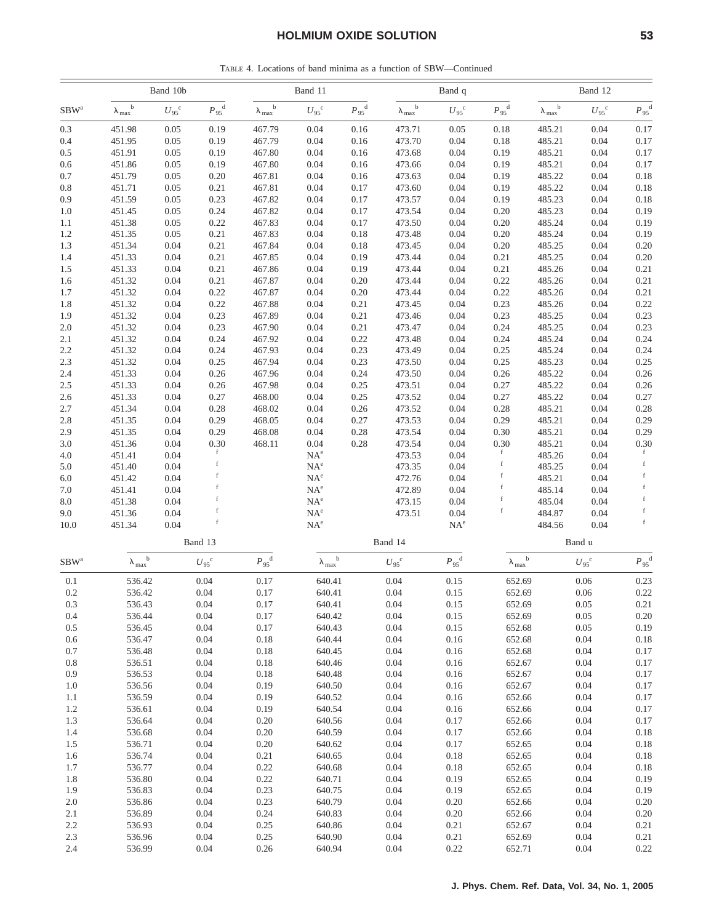TABLE 4. Locations of band minima as a function of SBW—Continued

|                  | Band 10b                              |                        |                     | Band 11                        |                           |                     |                                    | Band q                |                           |                      | Band 12          |                            |  |
|------------------|---------------------------------------|------------------------|---------------------|--------------------------------|---------------------------|---------------------|------------------------------------|-----------------------|---------------------------|----------------------|------------------|----------------------------|--|
| $SBW^a$          | $\mathbf b$<br>$\lambda_{\text{max}}$ | ${U_{\rm 95}}^{\rm c}$ | $P_{95}^{\text{d}}$ | $\mathbf b$<br>$\lambda_{max}$ | ${U_{95}}^{\rm c}$        | $P_{95}^{\text{d}}$ | $\mathbf b$<br>$\lambda_{\rm max}$ | $U_{95}^{\circ}$      | $P_{.95}$ <sup>d</sup>    | b<br>$\lambda_{max}$ | $U_{95}^{\circ}$ | $P_{95}^{\text{d}}$        |  |
| 0.3              | 451.98                                | 0.05                   | 0.19                | 467.79                         | 0.04                      | 0.16                | 473.71                             | 0.05                  | 0.18                      | 485.21               | 0.04             | 0.17                       |  |
| 0.4              | 451.95                                | 0.05                   | 0.19                | 467.79                         | 0.04                      | 0.16                | 473.70                             | 0.04                  | 0.18                      | 485.21               | 0.04             | 0.17                       |  |
| 0.5              | 451.91                                | 0.05                   | 0.19                | 467.80                         | 0.04                      | 0.16                | 473.68                             | 0.04                  | 0.19                      | 485.21               | 0.04             | 0.17                       |  |
| 0.6              | 451.86                                | 0.05                   | 0.19                | 467.80                         | 0.04                      | 0.16                | 473.66                             | 0.04                  | 0.19                      | 485.21               | 0.04             | 0.17                       |  |
| 0.7              | 451.79                                | 0.05                   | 0.20                | 467.81                         | 0.04                      | 0.16                | 473.63                             | 0.04                  | 0.19                      | 485.22               | 0.04             | 0.18                       |  |
| 0.8              | 451.71                                | 0.05                   | 0.21                | 467.81                         | 0.04                      | 0.17                | 473.60                             | 0.04                  | 0.19                      | 485.22               | 0.04             | 0.18                       |  |
| 0.9              | 451.59                                | 0.05                   | 0.23                | 467.82                         | 0.04                      | 0.17                | 473.57                             | 0.04                  | 0.19                      | 485.23               | 0.04             | 0.18                       |  |
| 1.0<br>1.1       | 451.45<br>451.38                      | 0.05<br>0.05           | 0.24<br>0.22        | 467.82<br>467.83               | 0.04<br>0.04              | 0.17<br>0.17        | 473.54<br>473.50                   | 0.04<br>0.04          | 0.20<br>0.20              | 485.23<br>485.24     | 0.04<br>0.04     | 0.19<br>0.19               |  |
| 1.2              | 451.35                                | 0.05                   | 0.21                | 467.83                         | 0.04                      | 0.18                | 473.48                             | 0.04                  | 0.20                      | 485.24               | 0.04             | 0.19                       |  |
| 1.3              | 451.34                                | 0.04                   | 0.21                | 467.84                         | 0.04                      | 0.18                | 473.45                             | 0.04                  | 0.20                      | 485.25               | 0.04             | 0.20                       |  |
| 1.4              | 451.33                                | 0.04                   | 0.21                | 467.85                         | 0.04                      | 0.19                | 473.44                             | 0.04                  | 0.21                      | 485.25               | 0.04             | 0.20                       |  |
| 1.5              | 451.33                                | 0.04                   | 0.21                | 467.86                         | 0.04                      | 0.19                | 473.44                             | 0.04                  | 0.21                      | 485.26               | 0.04             | 0.21                       |  |
| 1.6              | 451.32                                | 0.04                   | 0.21                | 467.87                         | 0.04                      | 0.20                | 473.44                             | 0.04                  | 0.22                      | 485.26               | 0.04             | 0.21                       |  |
| 1.7              | 451.32                                | 0.04                   | 0.22                | 467.87                         | 0.04                      | 0.20                | 473.44                             | 0.04                  | 0.22                      | 485.26               | 0.04             | 0.21                       |  |
| 1.8              | 451.32                                | 0.04                   | 0.22                | 467.88                         | 0.04                      | 0.21                | 473.45                             | 0.04                  | 0.23                      | 485.26               | 0.04             | 0.22                       |  |
| 1.9              | 451.32                                | 0.04                   | 0.23                | 467.89                         | 0.04                      | 0.21                | 473.46                             | 0.04                  | 0.23                      | 485.25               | 0.04             | 0.23                       |  |
| 2.0              | 451.32                                | 0.04                   | 0.23                | 467.90                         | 0.04                      | 0.21                | 473.47                             | 0.04                  | 0.24                      | 485.25               | 0.04             | 0.23                       |  |
| 2.1              | 451.32                                | 0.04                   | 0.24                | 467.92                         | 0.04                      | 0.22                | 473.48                             | 0.04                  | 0.24                      | 485.24               | 0.04             | 0.24                       |  |
| 2.2              | 451.32                                | 0.04                   | 0.24                | 467.93                         | 0.04                      | 0.23                | 473.49                             | 0.04                  | 0.25                      | 485.24               | 0.04             | 0.24                       |  |
| 2.3              | 451.32                                | 0.04                   | 0.25                | 467.94                         | 0.04                      | 0.23                | 473.50                             | 0.04                  | 0.25                      | 485.23               | 0.04             | 0.25                       |  |
| 2.4              | 451.33                                | 0.04                   | 0.26                | 467.96                         | 0.04                      | 0.24                | 473.50                             | 0.04                  | 0.26                      | 485.22               | 0.04             | 0.26                       |  |
| 2.5<br>2.6       | 451.33<br>451.33                      | 0.04<br>0.04           | 0.26<br>0.27        | 467.98<br>468.00               | 0.04<br>0.04              | 0.25<br>0.25        | 473.51<br>473.52                   | 0.04<br>0.04          | 0.27<br>0.27              | 485.22<br>485.22     | 0.04<br>0.04     | 0.26<br>0.27               |  |
| 2.7              | 451.34                                | 0.04                   | 0.28                | 468.02                         | 0.04                      | 0.26                | 473.52                             | 0.04                  | 0.28                      | 485.21               | 0.04             | 0.28                       |  |
| 2.8              | 451.35                                | 0.04                   | 0.29                | 468.05                         | 0.04                      | 0.27                | 473.53                             | 0.04                  | 0.29                      | 485.21               | 0.04             | 0.29                       |  |
| 2.9              | 451.35                                | 0.04                   | 0.29                | 468.08                         | 0.04                      | 0.28                | 473.54                             | 0.04                  | 0.30                      | 485.21               | 0.04             | 0.29                       |  |
| 3.0              | 451.36                                | 0.04                   | 0.30                | 468.11                         | 0.04                      | 0.28                | 473.54                             | 0.04                  | 0.30                      | 485.21               | 0.04             | 0.30                       |  |
| 4.0              | 451.41                                | 0.04                   | $\rm f$             |                                | $NA^e$                    |                     | 473.53                             | 0.04                  | $\mathbf f$               | 485.26               | 0.04             | $\mathbf f$                |  |
| 5.0              | 451.40                                | 0.04                   | f                   |                                | $NA^e$                    |                     | 473.35                             | 0.04                  | $\mathbf f$               | 485.25               | 0.04             | $\mathbf f$                |  |
| 6.0              | 451.42                                | 0.04                   | f                   |                                | $NA^e$                    |                     | 472.76                             | 0.04                  | $\mathbf f$               | 485.21               | 0.04             | f                          |  |
| 7.0              | 451.41                                | 0.04                   | f                   |                                | $NA^e$                    |                     | 472.89                             | 0.04                  | $\mathbf f$               | 485.14               | 0.04             | $\mathbf f$                |  |
| 8.0              | 451.38                                | 0.04                   |                     |                                | $NA^e$                    |                     | 473.15                             | 0.04                  | $\mathbf f$               | 485.04               | 0.04             |                            |  |
| 9.0              | 451.36                                | 0.04                   | f<br>$\mathbf f$    |                                | $NA^e$                    |                     | 473.51                             | 0.04                  | $\mathbf f$               | 484.87               | 0.04             | $\mathbf f$<br>$\mathbf f$ |  |
| 10.0             | 451.34                                | 0.04                   |                     |                                | $NA^e$                    |                     |                                    | $NA^e$                |                           | 484.56               | 0.04             |                            |  |
|                  |                                       |                        | Band 13             |                                |                           |                     | Band 14                            |                       |                           |                      | Band u           |                            |  |
| SBW <sup>a</sup> | $\lambda_{max}^{\quad b}$             |                        | $U_{.95}^{\circ}$   | $P_{.95}$ <sup>d</sup>         | $\lambda_{max}^{\quad b}$ |                     | $U_{95}^{\circ}$                   | $P_{95}$ <sup>d</sup> | $\lambda_{max}^{\quad b}$ |                      | $U_{95}^{\circ}$ | $P_{95}^{\text{d}}$        |  |
| 0.1              | 536.42                                |                        | 0.04                | 0.17                           | 640.41                    |                     | 0.04                               | 0.15                  | 652.69                    |                      | 0.06             | 0.23                       |  |
| $0.2\,$          | 536.42                                |                        | 0.04                | 0.17                           | 640.41                    |                     | 0.04                               | 0.15                  | 652.69                    |                      | 0.06             | 0.22                       |  |
| 0.3              | 536.43                                |                        | 0.04                | 0.17                           | 640.41                    |                     | 0.04                               | 0.15                  | 652.69                    |                      | 0.05             | 0.21                       |  |
| 0.4<br>0.5       | 536.44<br>536.45                      |                        | 0.04<br>0.04        | 0.17<br>0.17                   | 640.42<br>640.43          |                     | 0.04<br>0.04                       | 0.15<br>0.15          | 652.69<br>652.68          |                      | 0.05<br>0.05     | 0.20                       |  |
| 0.6              | 536.47                                |                        | 0.04                | $0.18\,$                       | 640.44                    |                     | 0.04                               | 0.16                  | 652.68                    |                      | 0.04             | 0.19<br>0.18               |  |
| 0.7              | 536.48                                |                        | 0.04                | $0.18\,$                       | 640.45                    |                     | 0.04                               | 0.16                  | 652.68                    |                      | 0.04             | 0.17                       |  |
| 0.8              | 536.51                                |                        | 0.04                | 0.18                           | 640.46                    |                     | 0.04                               | 0.16                  | 652.67                    |                      | 0.04             | 0.17                       |  |
| 0.9              | 536.53                                |                        | 0.04                | $0.18\,$                       | 640.48                    |                     | 0.04                               | 0.16                  | 652.67                    |                      | 0.04             | 0.17                       |  |
| 1.0              | 536.56                                |                        | 0.04                | 0.19                           | 640.50                    |                     | 0.04                               | 0.16                  | 652.67                    |                      | 0.04             | 0.17                       |  |
| 1.1              | 536.59                                |                        | 0.04                | 0.19                           | 640.52                    |                     | 0.04                               | 0.16                  | 652.66                    |                      | 0.04             | 0.17                       |  |
| 1.2              | 536.61                                |                        | 0.04                | 0.19                           | 640.54                    |                     | 0.04                               | 0.16                  | 652.66                    |                      | 0.04             | 0.17                       |  |
| 1.3              | 536.64                                |                        | 0.04                | 0.20                           | 640.56                    |                     | 0.04                               | 0.17                  | 652.66                    |                      | 0.04             | 0.17                       |  |
| 1.4              | 536.68                                |                        | 0.04                | 0.20                           | 640.59                    |                     | 0.04                               | 0.17                  | 652.66                    |                      | 0.04             | 0.18                       |  |
| $1.5\,$          | 536.71                                |                        | 0.04                | 0.20                           | 640.62                    |                     | 0.04                               | 0.17                  | 652.65                    |                      | 0.04             | 0.18                       |  |
| 1.6              | 536.74                                |                        | 0.04                | 0.21                           | 640.65                    |                     | 0.04                               | 0.18                  | 652.65                    |                      | 0.04             | 0.18                       |  |
| 1.7              | 536.77                                |                        | 0.04                | 0.22                           | 640.68                    |                     | 0.04                               | 0.18                  | 652.65                    |                      | 0.04             | 0.18                       |  |
| 1.8              | 536.80                                |                        | 0.04                | 0.22                           | 640.71                    |                     | 0.04                               | 0.19                  | 652.65                    |                      | 0.04             | 0.19                       |  |
| 1.9<br>2.0       | 536.83<br>536.86                      |                        | 0.04<br>0.04        | 0.23<br>0.23                   | 640.75<br>640.79          |                     | 0.04<br>0.04                       | 0.19<br>0.20          | 652.65<br>652.66          |                      | 0.04<br>0.04     | 0.19<br>0.20               |  |
| 2.1              | 536.89                                |                        | 0.04                | 0.24                           | 640.83                    |                     | 0.04                               | 0.20                  | 652.66                    |                      | 0.04             | 0.20                       |  |
| 2.2              | 536.93                                |                        | 0.04                | 0.25                           | 640.86                    |                     | 0.04                               | 0.21                  | 652.67                    |                      | 0.04             | 0.21                       |  |
| 2.3              | 536.96                                |                        | 0.04                | 0.25                           | 640.90                    |                     | 0.04                               | 0.21                  | 652.69                    |                      | 0.04             | 0.21                       |  |
| 2.4              | 536.99                                |                        | 0.04                | 0.26                           | 640.94                    |                     | 0.04                               | 0.22                  | 652.71                    |                      | 0.04             | 0.22                       |  |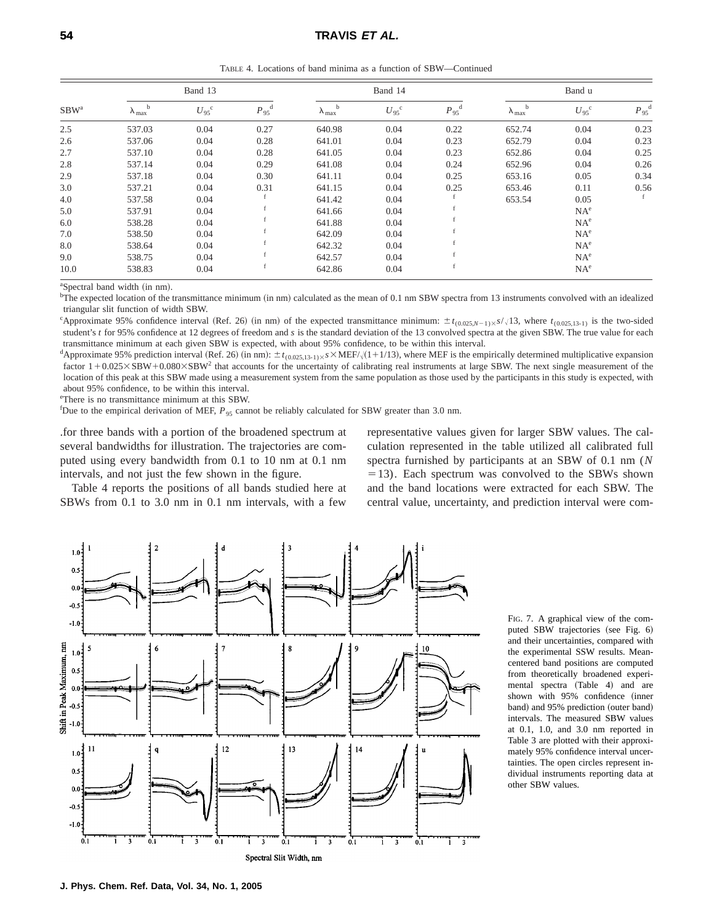TABLE 4. Locations of band minima as a function of SBW—Continued

| $SBW^a$ |                               | Band 13                |                        |                                  | Band 14          |                        | Band u                    |                  |                        |
|---------|-------------------------------|------------------------|------------------------|----------------------------------|------------------|------------------------|---------------------------|------------------|------------------------|
|         | $\lambda_{\rm max}^{\quad b}$ | $U_{.95}$ <sup>c</sup> | $P_{.95}$ <sup>d</sup> | $\lambda_{max}^{\phantom{max}b}$ | $U_{95}^{\circ}$ | $P_{.95}$ <sup>d</sup> | $\lambda_{max}^{\quad b}$ | $U_{95}^{\circ}$ | $P_{.95}$ <sup>d</sup> |
| 2.5     | 537.03                        | 0.04                   | 0.27                   | 640.98                           | 0.04             | 0.22                   | 652.74                    | 0.04             | 0.23                   |
| 2.6     | 537.06                        | 0.04                   | 0.28                   | 641.01                           | 0.04             | 0.23                   | 652.79                    | 0.04             | 0.23                   |
| 2.7     | 537.10                        | 0.04                   | 0.28                   | 641.05                           | 0.04             | 0.23                   | 652.86                    | 0.04             | 0.25                   |
| 2.8     | 537.14                        | 0.04                   | 0.29                   | 641.08                           | 0.04             | 0.24                   | 652.96                    | 0.04             | 0.26                   |
| 2.9     | 537.18                        | 0.04                   | 0.30                   | 641.11                           | 0.04             | 0.25                   | 653.16                    | 0.05             | 0.34                   |
| 3.0     | 537.21                        | 0.04                   | 0.31                   | 641.15                           | 0.04             | 0.25                   | 653.46                    | 0.11             | 0.56                   |
| 4.0     | 537.58                        | 0.04                   |                        | 641.42                           | 0.04             |                        | 653.54                    | 0.05             | f                      |
| 5.0     | 537.91                        | 0.04                   |                        | 641.66                           | 0.04             |                        |                           | $NA^e$           |                        |
| 6.0     | 538.28                        | 0.04                   |                        | 641.88                           | 0.04             |                        |                           | $NA^e$           |                        |
| 7.0     | 538.50                        | 0.04                   |                        | 642.09                           | 0.04             |                        |                           | $NA^e$           |                        |
| 8.0     | 538.64                        | 0.04                   |                        | 642.32                           | 0.04             |                        |                           | NA <sup>e</sup>  |                        |
| 9.0     | 538.75                        | 0.04                   |                        | 642.57                           | 0.04             |                        |                           | NA <sup>e</sup>  |                        |
| 10.0    | 538.83                        | 0.04                   |                        | 642.86                           | 0.04             |                        |                           | $NA^e$           |                        |

<sup>a</sup>Spectral band width (in nm).

 $b$ The expected location of the transmittance minimum (in nm) calculated as the mean of 0.1 nm SBW spectra from 13 instruments convolved with an idealized triangular slit function of width SBW.

"Approximate 95% confidence interval (Ref. 26) (in nm) of the expected transmittance minimum:  $\pm t_{(0.025,N-1)\times S}/13$ , where  $t_{(0.025,13-1)}$  is the two-sided student's *t* for 95% confidence at 12 degrees of freedom and *s* is the standard deviation of the 13 convolved spectra at the given SBW. The true value for each transmittance minimum at each given SBW is expected, with about 95% confidence, to be within this interval.

<sup>d</sup>Approximate 95% prediction interval (Ref. 26) (in nm):  $\pm t_{(0.025,13-1)\times}$ *s*  $\times$ MEF/ $\sqrt{(1+1/13)}$ , where MEF is the empirically determined multiplicative expansion factor  $1+0.025\times SBW+0.080\times SBW^2$  that accounts for the uncertainty of calibrating real instruments at large SBW. The next single measurement of the location of this peak at this SBW made using a measurement system from the same population as those used by the participants in this study is expected, with about 95% confidence, to be within this interval.

e There is no transmittance minimum at this SBW.

<sup>f</sup>Due to the empirical derivation of MEF,  $P_{95}$  cannot be reliably calculated for SBW greater than 3.0 nm.

.for three bands with a portion of the broadened spectrum at several bandwidths for illustration. The trajectories are computed using every bandwidth from 0.1 to 10 nm at 0.1 nm intervals, and not just the few shown in the figure.

Table 4 reports the positions of all bands studied here at SBWs from 0.1 to 3.0 nm in 0.1 nm intervals, with a few

representative values given for larger SBW values. The calculation represented in the table utilized all calibrated full spectra furnished by participants at an SBW of 0.1 nm (*N*  $=$  13). Each spectrum was convolved to the SBWs shown and the band locations were extracted for each SBW. The central value, uncertainty, and prediction interval were com-



FIG. 7. A graphical view of the computed SBW trajectories (see Fig. 6) and their uncertainties, compared with the experimental SSW results. Meancentered band positions are computed from theoretically broadened experimental spectra (Table 4) and are shown with 95% confidence (inner band) and 95% prediction (outer band) intervals. The measured SBW values at 0.1, 1.0, and 3.0 nm reported in Table 3 are plotted with their approximately 95% confidence interval uncertainties. The open circles represent individual instruments reporting data at other SBW values.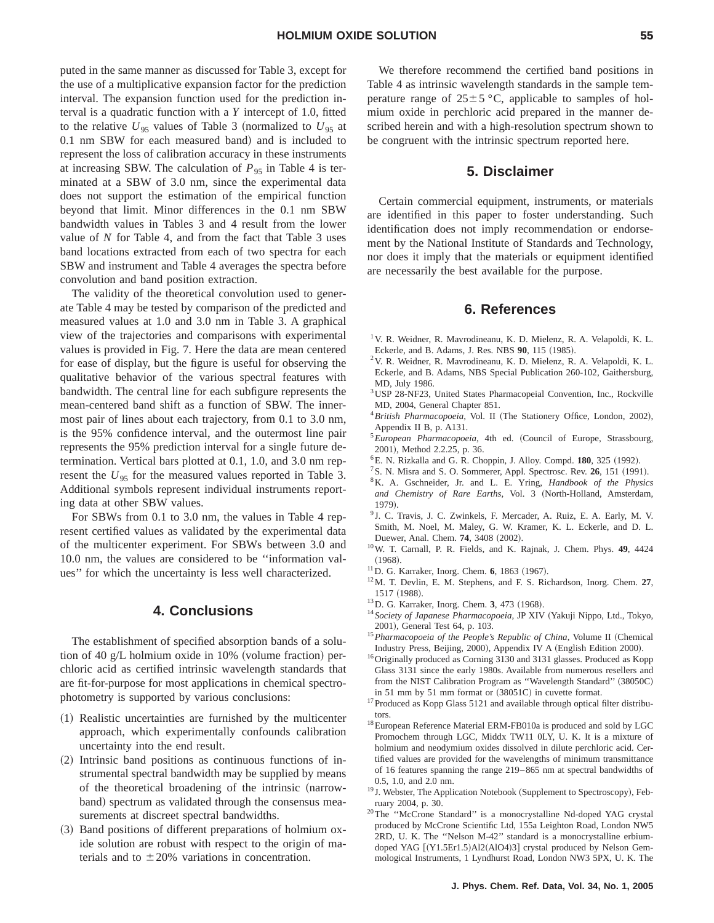puted in the same manner as discussed for Table 3, except for the use of a multiplicative expansion factor for the prediction interval. The expansion function used for the prediction interval is a quadratic function with a *Y* intercept of 1.0, fitted to the relative  $U_{95}$  values of Table 3 (normalized to  $U_{95}$  at  $0.1$  nm SBW for each measured band) and is included to represent the loss of calibration accuracy in these instruments at increasing SBW. The calculation of  $P_{95}$  in Table 4 is terminated at a SBW of 3.0 nm, since the experimental data does not support the estimation of the empirical function beyond that limit. Minor differences in the 0.1 nm SBW bandwidth values in Tables 3 and 4 result from the lower value of *N* for Table 4, and from the fact that Table 3 uses band locations extracted from each of two spectra for each SBW and instrument and Table 4 averages the spectra before convolution and band position extraction.

The validity of the theoretical convolution used to generate Table 4 may be tested by comparison of the predicted and measured values at 1.0 and 3.0 nm in Table 3. A graphical view of the trajectories and comparisons with experimental values is provided in Fig. 7. Here the data are mean centered for ease of display, but the figure is useful for observing the qualitative behavior of the various spectral features with bandwidth. The central line for each subfigure represents the mean-centered band shift as a function of SBW. The innermost pair of lines about each trajectory, from 0.1 to 3.0 nm, is the 95% confidence interval, and the outermost line pair represents the 95% prediction interval for a single future determination. Vertical bars plotted at 0.1, 1.0, and 3.0 nm represent the  $U_{95}$  for the measured values reported in Table 3. Additional symbols represent individual instruments reporting data at other SBW values.

For SBWs from 0.1 to 3.0 nm, the values in Table 4 represent certified values as validated by the experimental data of the multicenter experiment. For SBWs between 3.0 and 10.0 nm, the values are considered to be ''information values'' for which the uncertainty is less well characterized.

# **4. Conclusions**

The establishment of specified absorption bands of a solution of 40 g/L holmium oxide in  $10\%$  (volume fraction) perchloric acid as certified intrinsic wavelength standards that are fit-for-purpose for most applications in chemical spectrophotometry is supported by various conclusions:

- ~1! Realistic uncertainties are furnished by the multicenter approach, which experimentally confounds calibration uncertainty into the end result.
- $(2)$  Intrinsic band positions as continuous functions of instrumental spectral bandwidth may be supplied by means of the theoretical broadening of the intrinsic (narrowband) spectrum as validated through the consensus measurements at discreet spectral bandwidths.
- $(3)$  Band positions of different preparations of holmium oxide solution are robust with respect to the origin of materials and to  $\pm 20\%$  variations in concentration.

# **5. Disclaimer**

Certain commercial equipment, instruments, or materials are identified in this paper to foster understanding. Such identification does not imply recommendation or endorsement by the National Institute of Standards and Technology, nor does it imply that the materials or equipment identified are necessarily the best available for the purpose.

### **6. References**

- <sup>1</sup> V. R. Weidner, R. Mavrodineanu, K. D. Mielenz, R. A. Velapoldi, K. L. Eckerle, and B. Adams, J. Res. NBS 90, 115 (1985).
- 2V. R. Weidner, R. Mavrodineanu, K. D. Mielenz, R. A. Velapoldi, K. L. Eckerle, and B. Adams, NBS Special Publication 260-102, Gaithersburg, MD, July 1986.
- <sup>3</sup>USP 28-NF23, United States Pharmacopeial Convention, Inc., Rockville MD, 2004, General Chapter 851.
- <sup>4</sup> British Pharmacopoeia, Vol. II (The Stationery Office, London, 2002), Appendix II B, p. A131.
- <sup>5</sup> European Pharmacopoeia, 4th ed. (Council of Europe, Strassbourg, 2001), Method 2.2.25, p. 36.
- <sup>6</sup> E. N. Rizkalla and G. R. Choppin, J. Alloy. Compd. **180**, 325 (1992).
- <sup>7</sup>S. N. Misra and S. O. Sommerer, Appl. Spectrosc. Rev. **26**, 151 (1991).
- 8K. A. Gschneider, Jr. and L. E. Yring, *Handbook of the Physics* and Chemistry of Rare Earths, Vol. 3 (North-Holland, Amsterdam, 1979).
- <sup>9</sup> J. C. Travis, J. C. Zwinkels, F. Mercader, A. Ruiz, E. A. Early, M. V. Smith, M. Noel, M. Maley, G. W. Kramer, K. L. Eckerle, and D. L. Duewer, Anal. Chem. **74**, 3408 (2002).
- 10W. T. Carnall, P. R. Fields, and K. Rajnak, J. Chem. Phys. **49**, 4424  $(1968).$
- <sup>11</sup>D. G. Karraker, Inorg. Chem. **6**, 1863 (1967).
- 12M. T. Devlin, E. M. Stephens, and F. S. Richardson, Inorg. Chem. **27**, 1517 (1988).
- <sup>13</sup>D. G. Karraker, Inorg. Chem. 3, 473 (1968).
- <sup>14</sup> Society of Japanese Pharmacopoeia, JP XIV (Yakuji Nippo, Ltd., Tokyo, 2001), General Test 64, p. 103.
- <sup>15</sup> Pharmacopoeia of the People's Republic of China, Volume II (Chemical Industry Press, Beijing, 2000), Appendix IV A (English Edition 2000).
- 16Originally produced as Corning 3130 and 3131 glasses. Produced as Kopp Glass 3131 since the early 1980s. Available from numerous resellers and from the NIST Calibration Program as "Wavelength Standard" (38050C) in 51 mm by 51 mm format or  $(38051C)$  in cuvette format.
- <sup>17</sup> Produced as Kopp Glass 5121 and available through optical filter distributors.
- $^{18}$  European Reference Material ERM-FB010a is produced and sold by LGC Promochem through LGC, Middx TW11 0LY, U. K. It is a mixture of holmium and neodymium oxides dissolved in dilute perchloric acid. Certified values are provided for the wavelengths of minimum transmittance of 16 features spanning the range 219–865 nm at spectral bandwidths of 0.5, 1.0, and 2.0 nm.
- $19$  J. Webster, The Application Notebook (Supplement to Spectroscopy), February 2004, p. 30.
- <sup>20</sup>The "McCrone Standard" is a monocrystalline Nd-doped YAG crystal produced by McCrone Scientific Ltd, 155a Leighton Road, London NW5 2RD, U. K. The ''Nelson M-42'' standard is a monocrystalline erbiumdoped YAG [(Y1.5Er1.5)Al2(AlO4)3] crystal produced by Nelson Gemmological Instruments, 1 Lyndhurst Road, London NW3 5PX, U. K. The